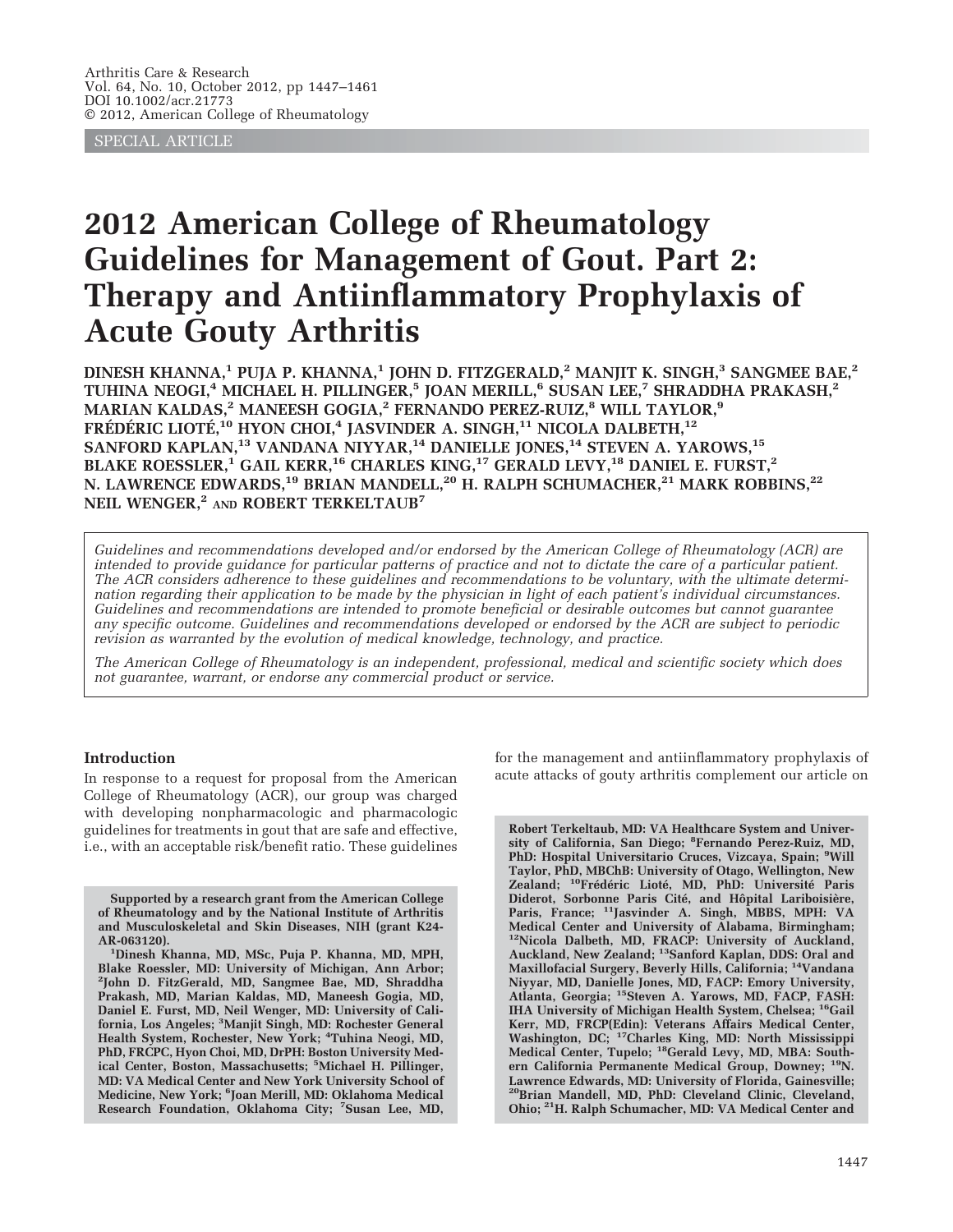SPECIAL ARTICLE

# **2012 American College of Rheumatology Guidelines for Management of Gout. Part 2: Therapy and Antiinflammatory Prophylaxis of Acute Gouty Arthritis**

**DINESH KHANNA,1 PUJA P. KHANNA,1 JOHN D. FITZGERALD,2 MANJIT K. SINGH,3 SANGMEE BAE,2 TUHINA NEOGI,4 MICHAEL H. PILLINGER,5 JOAN MERILL,6 SUSAN LEE,7 SHRADDHA PRAKASH,2 MARIAN KALDAS,2 MANEESH GOGIA,2 FERNANDO PEREZ-RUIZ,8 WILL TAYLOR,9 FRE´DE´RIC LIOTE´, <sup>10</sup> HYON CHOI,4 JASVINDER A. SINGH,11 NICOLA DALBETH,12 SANFORD KAPLAN,13 VANDANA NIYYAR,14 DANIELLE JONES,14 STEVEN A. YAROWS,15 BLAKE ROESSLER,1 GAIL KERR,16 CHARLES KING,17 GERALD LEVY,18 DANIEL E. FURST,2 N. LAWRENCE EDWARDS,19 BRIAN MANDELL,20 H. RALPH SCHUMACHER,21 MARK ROBBINS,22 NEIL WENGER,2 AND ROBERT TERKELTAUB7**

*Guidelines and recommendations developed and/or endorsed by the American College of Rheumatology (ACR) are intended to provide guidance for particular patterns of practice and not to dictate the care of a particular patient. The ACR considers adherence to these guidelines and recommendations to be voluntary, with the ultimate determination regarding their application to be made by the physician in light of each patient's individual circumstances. Guidelines and recommendations are intended to promote beneficial or desirable outcomes but cannot guarantee any specific outcome. Guidelines and recommendations developed or endorsed by the ACR are subject to periodic revision as warranted by the evolution of medical knowledge, technology, and practice.*

*The American College of Rheumatology is an independent, professional, medical and scientific society which does not guarantee, warrant, or endorse any commercial product or service.*

### **Introduction**

In response to a request for proposal from the American College of Rheumatology (ACR), our group was charged with developing nonpharmacologic and pharmacologic guidelines for treatments in gout that are safe and effective, i.e., with an acceptable risk/benefit ratio. These guidelines

**Supported by a research grant from the American College of Rheumatology and by the National Institute of Arthritis and Musculoskeletal and Skin Diseases, NIH (grant K24- AR-063120). <sup>1</sup>**

**Dinesh Khanna, MD, MSc, Puja P. Khanna, MD, MPH, Blake Roessler, MD: University of Michigan, Ann Arbor; 2 John D. FitzGerald, MD, Sangmee Bae, MD, Shraddha Prakash, MD, Marian Kaldas, MD, Maneesh Gogia, MD, Daniel E. Furst, MD, Neil Wenger, MD: University of California, Los Angeles; <sup>3</sup> Manjit Singh, MD: Rochester General Health System, Rochester, New York; <sup>4</sup> Tuhina Neogi, MD, PhD, FRCPC, Hyon Choi, MD, DrPH: Boston University Medical Center, Boston, Massachusetts; <sup>5</sup> Michael H. Pillinger, MD: VA Medical Center and New York University School of Medicine, New York; <sup>6</sup> Joan Merill, MD: Oklahoma Medical Research Foundation, Oklahoma City; <sup>7</sup> Susan Lee, MD,**

for the management and antiinflammatory prophylaxis of acute attacks of gouty arthritis complement our article on

**Robert Terkeltaub, MD: VA Healthcare System and University of California, San Diego; <sup>8</sup> Fernando Perez-Ruiz, MD, PhD: Hospital Universitario Cruces, Vizcaya, Spain; <sup>9</sup> Will** Taylor, PhD, MBChB: University of Otago, Wellington, New<br>Zealand; <sup>10</sup>Frédéric Lioté, MD, PhD: Université Paris Diderot, Sorbonne Paris Cité, and Hôpital Lariboisière, **Paris, France; 11Jasvinder A. Singh, MBBS, MPH: VA Medical Center and University of Alabama, Birmingham; 12Nicola Dalbeth, MD, FRACP: University of Auckland, Auckland, New Zealand; 13Sanford Kaplan, DDS: Oral and Maxillofacial Surgery, Beverly Hills, California; 14Vandana Niyyar, MD, Danielle Jones, MD, FACP: Emory University, Atlanta, Georgia; 15Steven A. Yarows, MD, FACP, FASH: IHA University of Michigan Health System, Chelsea; 16Gail Kerr, MD, FRCP(Edin): Veterans Affairs Medical Center, Washington, DC; 17Charles King, MD: North Mississippi Medical Center, Tupelo; 18Gerald Levy, MD, MBA: Southern California Permanente Medical Group, Downey; 19N. Lawrence Edwards, MD: University of Florida, Gainesville; 20Brian Mandell, MD, PhD: Cleveland Clinic, Cleveland, Ohio; 21H. Ralph Schumacher, MD: VA Medical Center and**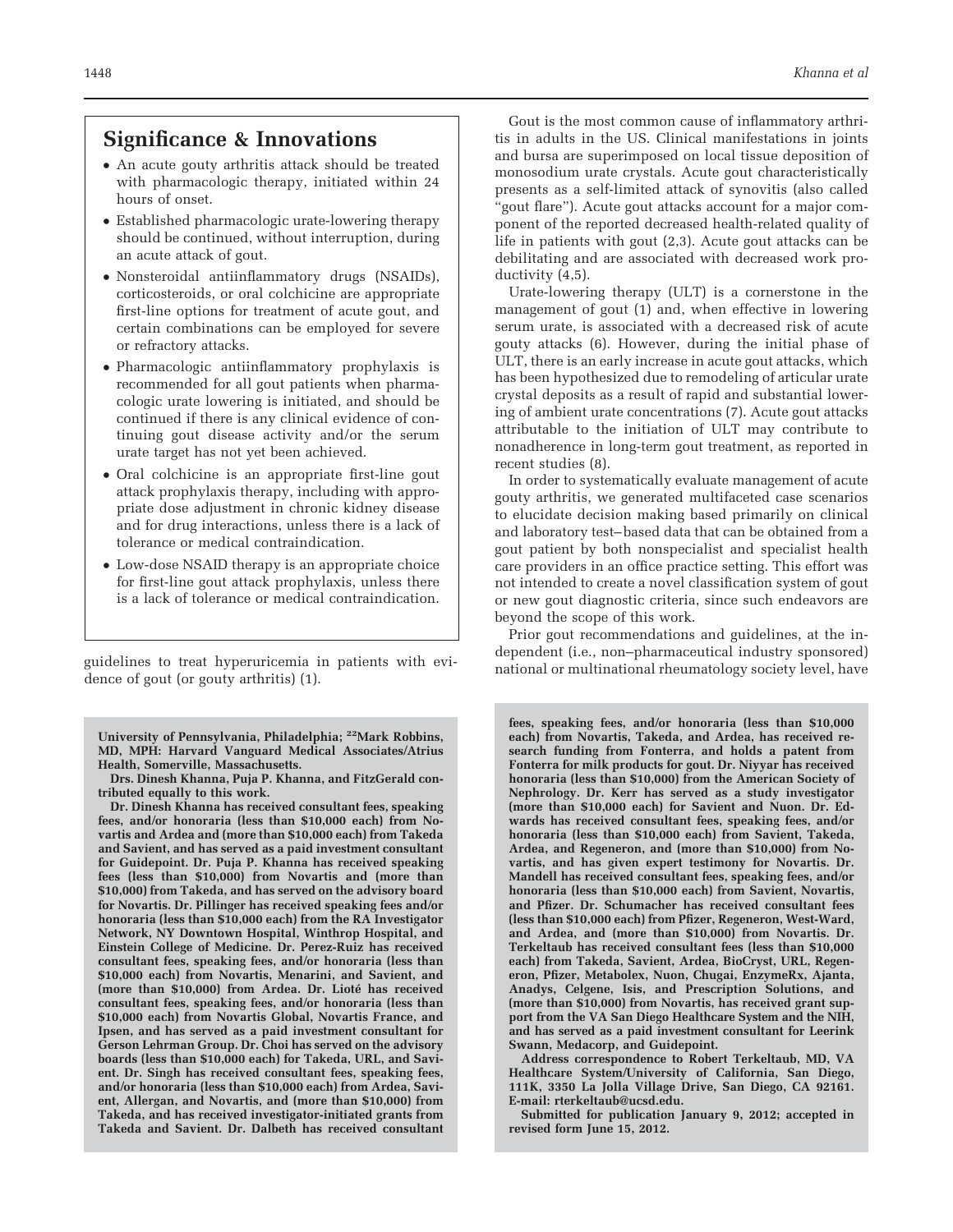# **Significance & Innovations**

- An acute gouty arthritis attack should be treated with pharmacologic therapy, initiated within 24 hours of onset.
- Established pharmacologic urate-lowering therapy should be continued, without interruption, during an acute attack of gout.
- Nonsteroidal antiinflammatory drugs (NSAIDs), corticosteroids, or oral colchicine are appropriate first-line options for treatment of acute gout, and certain combinations can be employed for severe or refractory attacks.
- Pharmacologic antiinflammatory prophylaxis is recommended for all gout patients when pharmacologic urate lowering is initiated, and should be continued if there is any clinical evidence of continuing gout disease activity and/or the serum urate target has not yet been achieved.
- Oral colchicine is an appropriate first-line gout attack prophylaxis therapy, including with appropriate dose adjustment in chronic kidney disease and for drug interactions, unless there is a lack of tolerance or medical contraindication.
- Low-dose NSAID therapy is an appropriate choice for first-line gout attack prophylaxis, unless there is a lack of tolerance or medical contraindication.

guidelines to treat hyperuricemia in patients with evidence of gout (or gouty arthritis) (1).

**University of Pennsylvania, Philadelphia; 22Mark Robbins, MD, MPH: Harvard Vanguard Medical Associates/Atrius Health, Somerville, Massachusetts.**

**Drs. Dinesh Khanna, Puja P. Khanna, and FitzGerald contributed equally to this work.**

**Dr. Dinesh Khanna has received consultant fees, speaking fees, and/or honoraria (less than \$10,000 each) from Novartis and Ardea and (more than \$10,000 each) from Takeda and Savient, and has served as a paid investment consultant for Guidepoint. Dr. Puja P. Khanna has received speaking fees (less than \$10,000) from Novartis and (more than \$10,000) from Takeda, and has served on the advisory board for Novartis. Dr. Pillinger has received speaking fees and/or honoraria (less than \$10,000 each) from the RA Investigator Network, NY Downtown Hospital, Winthrop Hospital, and Einstein College of Medicine. Dr. Perez-Ruiz has received consultant fees, speaking fees, and/or honoraria (less than \$10,000 each) from Novartis, Menarini, and Savient, and (more than \$10,000) from Ardea. Dr. Liote´ has received consultant fees, speaking fees, and/or honoraria (less than \$10,000 each) from Novartis Global, Novartis France, and Ipsen, and has served as a paid investment consultant for Gerson Lehrman Group. Dr. Choi has served on the advisory boards (less than \$10,000 each) for Takeda, URL, and Savient. Dr. Singh has received consultant fees, speaking fees, and/or honoraria (less than \$10,000 each) from Ardea, Savient, Allergan, and Novartis, and (more than \$10,000) from Takeda, and has received investigator-initiated grants from Takeda and Savient. Dr. Dalbeth has received consultant**

Gout is the most common cause of inflammatory arthritis in adults in the US. Clinical manifestations in joints and bursa are superimposed on local tissue deposition of monosodium urate crystals. Acute gout characteristically presents as a self-limited attack of synovitis (also called "gout flare"). Acute gout attacks account for a major component of the reported decreased health-related quality of life in patients with gout (2,3). Acute gout attacks can be debilitating and are associated with decreased work productivity (4,5).

Urate-lowering therapy (ULT) is a cornerstone in the management of gout (1) and, when effective in lowering serum urate, is associated with a decreased risk of acute gouty attacks (6). However, during the initial phase of ULT, there is an early increase in acute gout attacks, which has been hypothesized due to remodeling of articular urate crystal deposits as a result of rapid and substantial lowering of ambient urate concentrations (7). Acute gout attacks attributable to the initiation of ULT may contribute to nonadherence in long-term gout treatment, as reported in recent studies (8).

In order to systematically evaluate management of acute gouty arthritis, we generated multifaceted case scenarios to elucidate decision making based primarily on clinical and laboratory test– based data that can be obtained from a gout patient by both nonspecialist and specialist health care providers in an office practice setting. This effort was not intended to create a novel classification system of gout or new gout diagnostic criteria, since such endeavors are beyond the scope of this work.

Prior gout recommendations and guidelines, at the independent (i.e., non–pharmaceutical industry sponsored) national or multinational rheumatology society level, have

**fees, speaking fees, and/or honoraria (less than \$10,000** each) from Novartis, Takeda, and Ardea, has received re**search funding from Fonterra, and holds a patent from Fonterra for milk products for gout. Dr. Niyyar has received honoraria (less than \$10,000) from the American Society of Nephrology. Dr. Kerr has served as a study investigator (more than \$10,000 each) for Savient and Nuon. Dr. Edwards has received consultant fees, speaking fees, and/or honoraria (less than \$10,000 each) from Savient, Takeda, Ardea, and Regeneron, and (more than \$10,000) from Novartis, and has given expert testimony for Novartis. Dr. Mandell has received consultant fees, speaking fees, and/or honoraria (less than \$10,000 each) from Savient, Novartis, and Pfizer. Dr. Schumacher has received consultant fees (less than \$10,000 each) from Pfizer, Regeneron, West-Ward, and Ardea, and (more than \$10,000) from Novartis. Dr. Terkeltaub has received consultant fees (less than \$10,000 each) from Takeda, Savient, Ardea, BioCryst, URL, Regeneron, Pfizer, Metabolex, Nuon, Chugai, EnzymeRx, Ajanta, Anadys, Celgene, Isis, and Prescription Solutions, and (more than \$10,000) from Novartis, has received grant support from the VA San Diego Healthcare System and the NIH, and has served as a paid investment consultant for Leerink Swann, Medacorp, and Guidepoint.**

**Address correspondence to Robert Terkeltaub, MD, VA Healthcare System/University of California, San Diego, 111K, 3350 La Jolla Village Drive, San Diego, CA 92161. E-mail: rterkeltaub@ucsd.edu.**

**Submitted for publication January 9, 2012; accepted in revised form June 15, 2012.**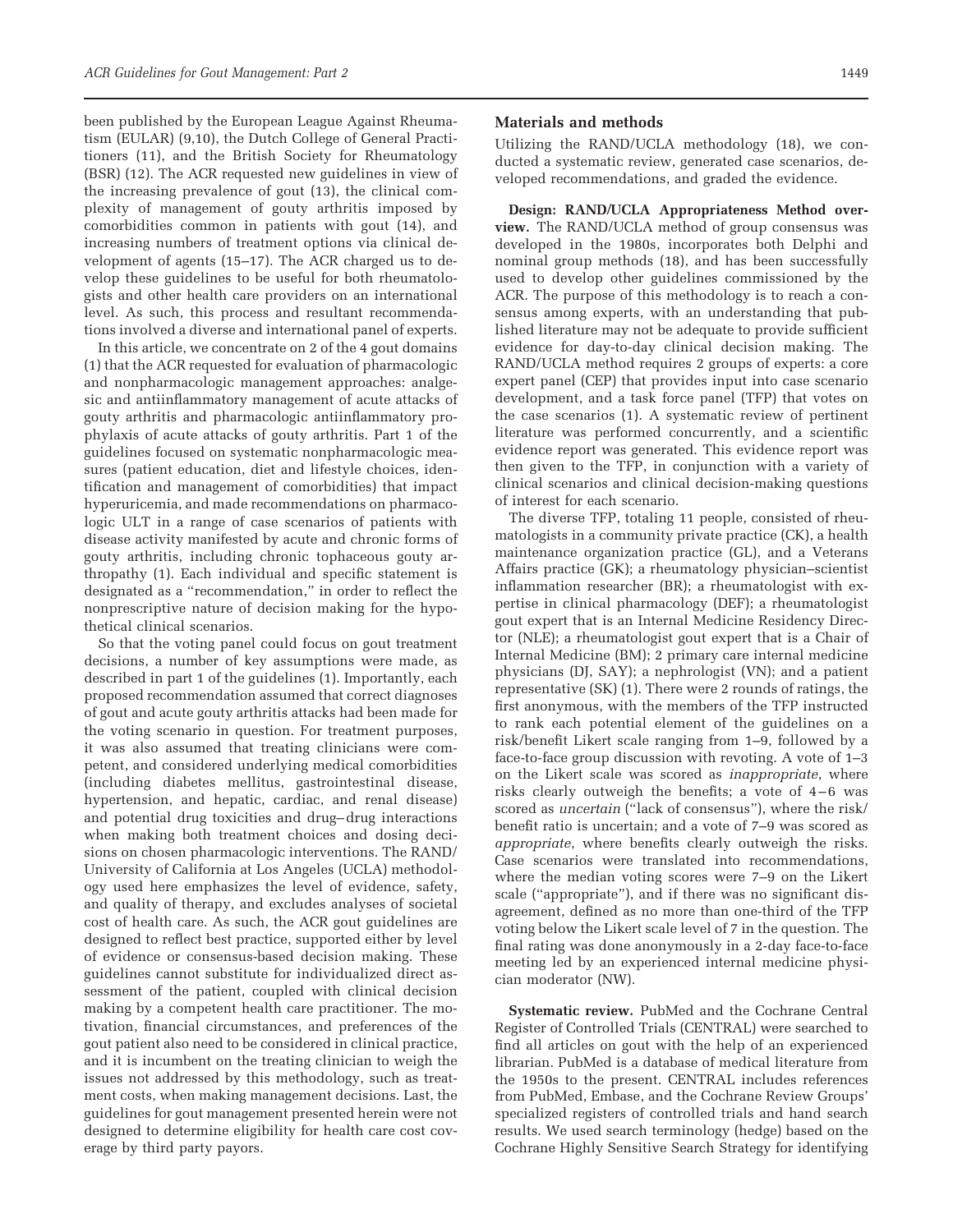been published by the European League Against Rheumatism (EULAR) (9,10), the Dutch College of General Practitioners (11), and the British Society for Rheumatology (BSR) (12). The ACR requested new guidelines in view of the increasing prevalence of gout (13), the clinical complexity of management of gouty arthritis imposed by comorbidities common in patients with gout (14), and increasing numbers of treatment options via clinical development of agents (15–17). The ACR charged us to develop these guidelines to be useful for both rheumatologists and other health care providers on an international level. As such, this process and resultant recommendations involved a diverse and international panel of experts.

In this article, we concentrate on 2 of the 4 gout domains (1) that the ACR requested for evaluation of pharmacologic and nonpharmacologic management approaches: analgesic and antiinflammatory management of acute attacks of gouty arthritis and pharmacologic antiinflammatory prophylaxis of acute attacks of gouty arthritis. Part 1 of the guidelines focused on systematic nonpharmacologic measures (patient education, diet and lifestyle choices, identification and management of comorbidities) that impact hyperuricemia, and made recommendations on pharmacologic ULT in a range of case scenarios of patients with disease activity manifested by acute and chronic forms of gouty arthritis, including chronic tophaceous gouty arthropathy (1). Each individual and specific statement is designated as a "recommendation," in order to reflect the nonprescriptive nature of decision making for the hypothetical clinical scenarios.

So that the voting panel could focus on gout treatment decisions, a number of key assumptions were made, as described in part 1 of the guidelines (1). Importantly, each proposed recommendation assumed that correct diagnoses of gout and acute gouty arthritis attacks had been made for the voting scenario in question. For treatment purposes, it was also assumed that treating clinicians were competent, and considered underlying medical comorbidities (including diabetes mellitus, gastrointestinal disease, hypertension, and hepatic, cardiac, and renal disease) and potential drug toxicities and drug–drug interactions when making both treatment choices and dosing decisions on chosen pharmacologic interventions. The RAND/ University of California at Los Angeles (UCLA) methodology used here emphasizes the level of evidence, safety, and quality of therapy, and excludes analyses of societal cost of health care. As such, the ACR gout guidelines are designed to reflect best practice, supported either by level of evidence or consensus-based decision making. These guidelines cannot substitute for individualized direct assessment of the patient, coupled with clinical decision making by a competent health care practitioner. The motivation, financial circumstances, and preferences of the gout patient also need to be considered in clinical practice, and it is incumbent on the treating clinician to weigh the issues not addressed by this methodology, such as treatment costs, when making management decisions. Last, the guidelines for gout management presented herein were not designed to determine eligibility for health care cost coverage by third party payors.

#### **Materials and methods**

Utilizing the RAND/UCLA methodology (18), we conducted a systematic review, generated case scenarios, developed recommendations, and graded the evidence.

**Design: RAND/UCLA Appropriateness Method overview.** The RAND/UCLA method of group consensus was developed in the 1980s, incorporates both Delphi and nominal group methods (18), and has been successfully used to develop other guidelines commissioned by the ACR. The purpose of this methodology is to reach a consensus among experts, with an understanding that published literature may not be adequate to provide sufficient evidence for day-to-day clinical decision making. The RAND/UCLA method requires 2 groups of experts: a core expert panel (CEP) that provides input into case scenario development, and a task force panel (TFP) that votes on the case scenarios (1). A systematic review of pertinent literature was performed concurrently, and a scientific evidence report was generated. This evidence report was then given to the TFP, in conjunction with a variety of clinical scenarios and clinical decision-making questions of interest for each scenario.

The diverse TFP, totaling 11 people, consisted of rheumatologists in a community private practice (CK), a health maintenance organization practice (GL), and a Veterans Affairs practice (GK); a rheumatology physician–scientist inflammation researcher (BR); a rheumatologist with expertise in clinical pharmacology (DEF); a rheumatologist gout expert that is an Internal Medicine Residency Director (NLE); a rheumatologist gout expert that is a Chair of Internal Medicine (BM); 2 primary care internal medicine physicians (DJ, SAY); a nephrologist (VN); and a patient representative (SK) (1). There were 2 rounds of ratings, the first anonymous, with the members of the TFP instructed to rank each potential element of the guidelines on a risk/benefit Likert scale ranging from 1–9, followed by a face-to-face group discussion with revoting. A vote of 1–3 on the Likert scale was scored as *inappropriate*, where risks clearly outweigh the benefits; a vote of  $4-6$  was scored as *uncertain* ("lack of consensus"), where the risk/ benefit ratio is uncertain; and a vote of 7–9 was scored as *appropriate*, where benefits clearly outweigh the risks. Case scenarios were translated into recommendations, where the median voting scores were 7–9 on the Likert scale ("appropriate"), and if there was no significant disagreement, defined as no more than one-third of the TFP voting below the Likert scale level of 7 in the question. The final rating was done anonymously in a 2-day face-to-face meeting led by an experienced internal medicine physician moderator (NW).

**Systematic review.** PubMed and the Cochrane Central Register of Controlled Trials (CENTRAL) were searched to find all articles on gout with the help of an experienced librarian. PubMed is a database of medical literature from the 1950s to the present. CENTRAL includes references from PubMed, Embase, and the Cochrane Review Groups' specialized registers of controlled trials and hand search results. We used search terminology (hedge) based on the Cochrane Highly Sensitive Search Strategy for identifying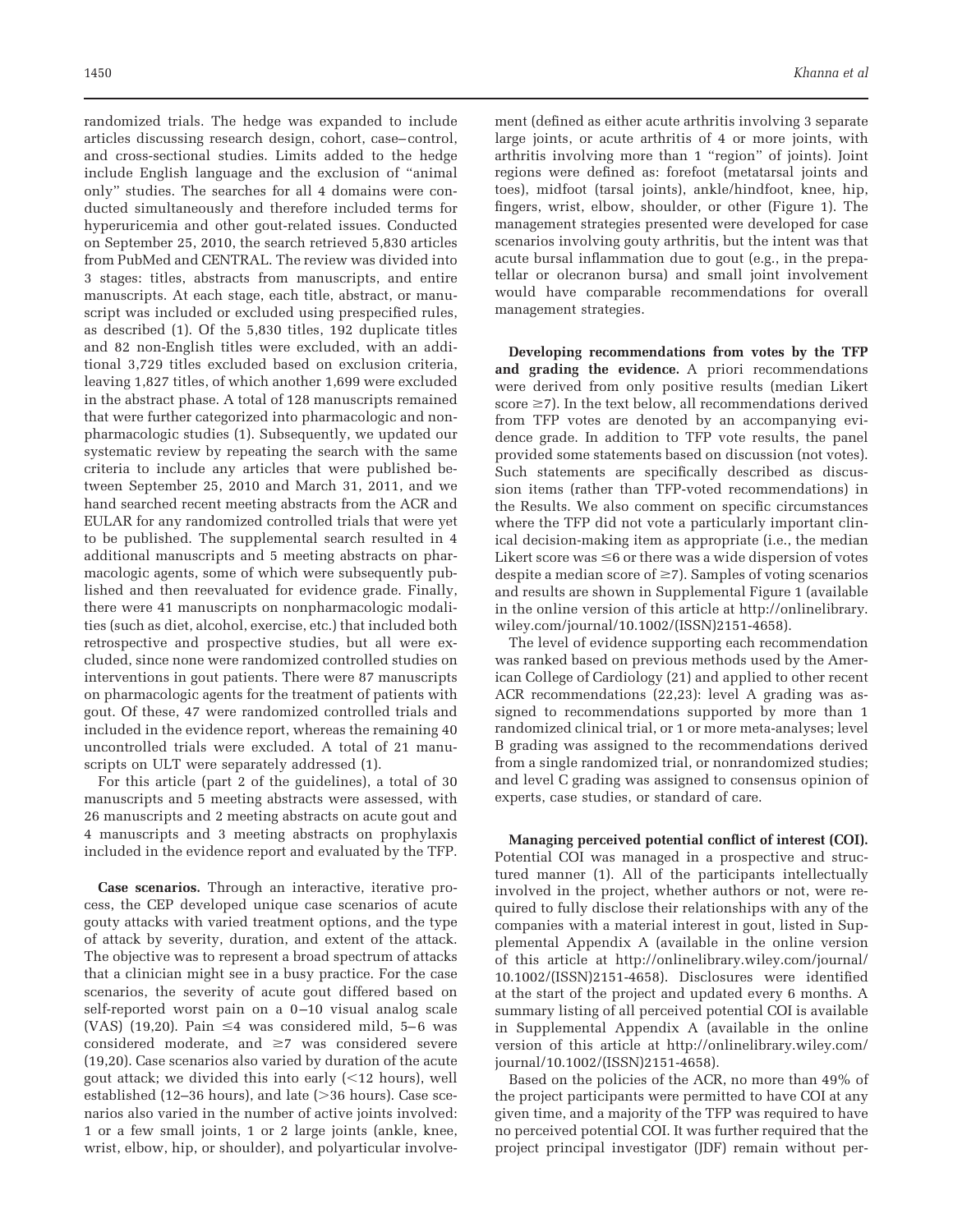randomized trials. The hedge was expanded to include articles discussing research design, cohort, case– control, and cross-sectional studies. Limits added to the hedge include English language and the exclusion of "animal only" studies. The searches for all 4 domains were conducted simultaneously and therefore included terms for hyperuricemia and other gout-related issues. Conducted on September 25, 2010, the search retrieved 5,830 articles from PubMed and CENTRAL. The review was divided into 3 stages: titles, abstracts from manuscripts, and entire manuscripts. At each stage, each title, abstract, or manuscript was included or excluded using prespecified rules, as described (1). Of the 5,830 titles, 192 duplicate titles and 82 non-English titles were excluded, with an additional 3,729 titles excluded based on exclusion criteria, leaving 1,827 titles, of which another 1,699 were excluded in the abstract phase. A total of 128 manuscripts remained that were further categorized into pharmacologic and nonpharmacologic studies (1). Subsequently, we updated our systematic review by repeating the search with the same criteria to include any articles that were published between September 25, 2010 and March 31, 2011, and we hand searched recent meeting abstracts from the ACR and EULAR for any randomized controlled trials that were yet to be published. The supplemental search resulted in 4 additional manuscripts and 5 meeting abstracts on pharmacologic agents, some of which were subsequently published and then reevaluated for evidence grade. Finally, there were 41 manuscripts on nonpharmacologic modalities (such as diet, alcohol, exercise, etc.) that included both retrospective and prospective studies, but all were excluded, since none were randomized controlled studies on interventions in gout patients. There were 87 manuscripts on pharmacologic agents for the treatment of patients with gout. Of these, 47 were randomized controlled trials and included in the evidence report, whereas the remaining 40 uncontrolled trials were excluded. A total of 21 manuscripts on ULT were separately addressed (1).

For this article (part 2 of the guidelines), a total of 30 manuscripts and 5 meeting abstracts were assessed, with 26 manuscripts and 2 meeting abstracts on acute gout and 4 manuscripts and 3 meeting abstracts on prophylaxis included in the evidence report and evaluated by the TFP.

**Case scenarios.** Through an interactive, iterative process, the CEP developed unique case scenarios of acute gouty attacks with varied treatment options, and the type of attack by severity, duration, and extent of the attack. The objective was to represent a broad spectrum of attacks that a clinician might see in a busy practice. For the case scenarios, the severity of acute gout differed based on self-reported worst pain on a 0-10 visual analog scale (VAS) (19,20). Pain  $\leq 4$  was considered mild, 5–6 was considered moderate, and  $\geq$  was considered severe (19,20). Case scenarios also varied by duration of the acute gout attack; we divided this into early ( $<$ 12 hours), well established (12–36 hours), and late (>36 hours). Case scenarios also varied in the number of active joints involved: 1 or a few small joints, 1 or 2 large joints (ankle, knee, wrist, elbow, hip, or shoulder), and polyarticular involvement (defined as either acute arthritis involving 3 separate large joints, or acute arthritis of 4 or more joints, with arthritis involving more than 1 "region" of joints). Joint regions were defined as: forefoot (metatarsal joints and toes), midfoot (tarsal joints), ankle/hindfoot, knee, hip, fingers, wrist, elbow, shoulder, or other (Figure 1). The management strategies presented were developed for case scenarios involving gouty arthritis, but the intent was that acute bursal inflammation due to gout (e.g., in the prepatellar or olecranon bursa) and small joint involvement would have comparable recommendations for overall management strategies.

**Developing recommendations from votes by the TFP and grading the evidence.** A priori recommendations were derived from only positive results (median Likert score  $\geq$ 7). In the text below, all recommendations derived from TFP votes are denoted by an accompanying evidence grade. In addition to TFP vote results, the panel provided some statements based on discussion (not votes). Such statements are specifically described as discussion items (rather than TFP-voted recommendations) in the Results. We also comment on specific circumstances where the TFP did not vote a particularly important clinical decision-making item as appropriate (i.e., the median Likert score was  $\leq$ 6 or there was a wide dispersion of votes despite a median score of  $\geq$ 7). Samples of voting scenarios and results are shown in Supplemental Figure 1 (available in the online version of this article at http://onlinelibrary. wiley.com/journal/10.1002/(ISSN)2151-4658).

The level of evidence supporting each recommendation was ranked based on previous methods used by the American College of Cardiology (21) and applied to other recent ACR recommendations (22,23): level A grading was assigned to recommendations supported by more than 1 randomized clinical trial, or 1 or more meta-analyses; level B grading was assigned to the recommendations derived from a single randomized trial, or nonrandomized studies; and level C grading was assigned to consensus opinion of experts, case studies, or standard of care.

**Managing perceived potential conflict of interest (COI).** Potential COI was managed in a prospective and structured manner (1). All of the participants intellectually involved in the project, whether authors or not, were required to fully disclose their relationships with any of the companies with a material interest in gout, listed in Supplemental Appendix A (available in the online version of this article at http://onlinelibrary.wiley.com/journal/ 10.1002/(ISSN)2151-4658). Disclosures were identified at the start of the project and updated every 6 months. A summary listing of all perceived potential COI is available in Supplemental Appendix A (available in the online version of this article at http://onlinelibrary.wiley.com/ journal/10.1002/(ISSN)2151-4658).

Based on the policies of the ACR, no more than 49% of the project participants were permitted to have COI at any given time, and a majority of the TFP was required to have no perceived potential COI. It was further required that the project principal investigator (JDF) remain without per-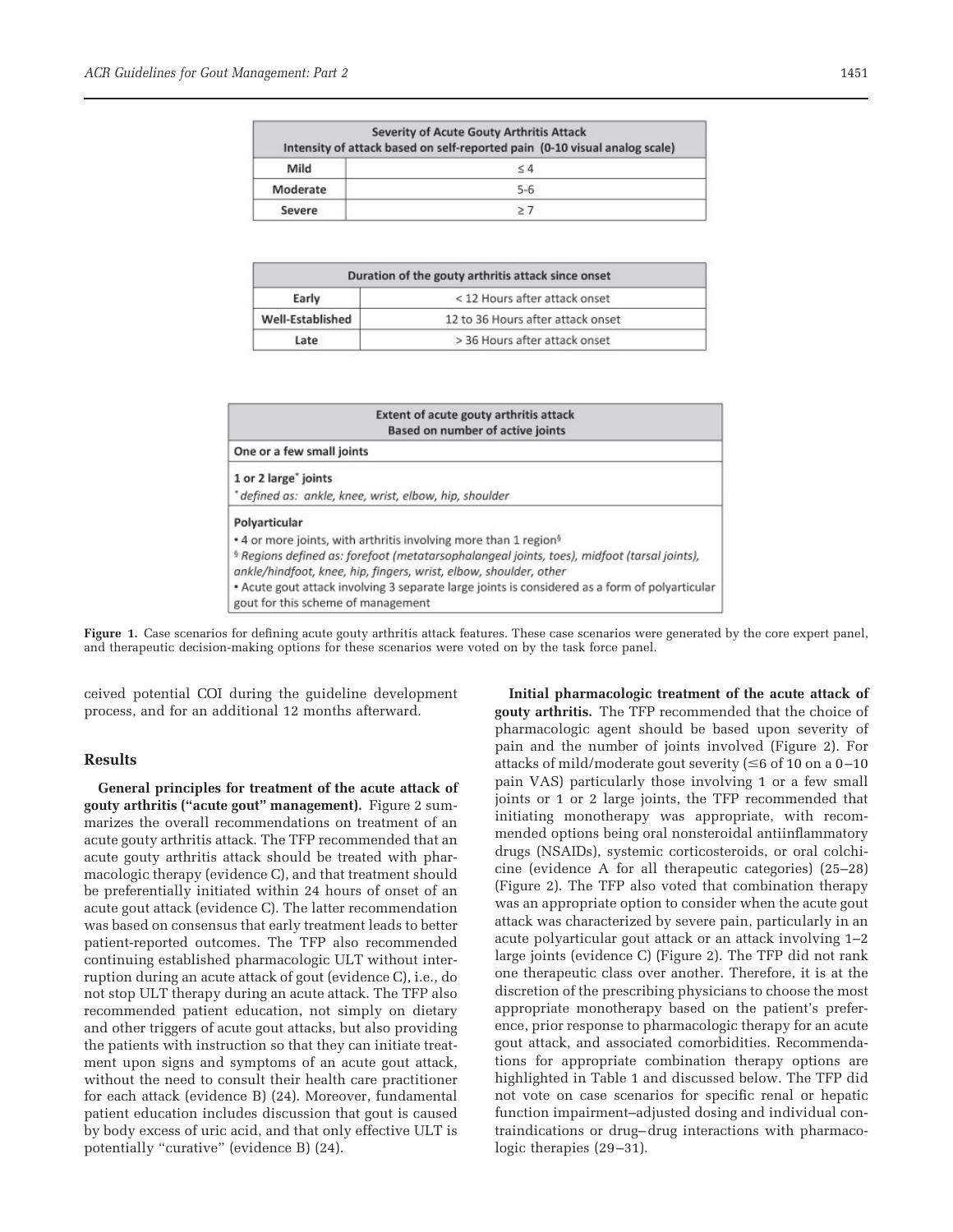| Severity of Acute Gouty Arthritis Attack                                   |         |  |
|----------------------------------------------------------------------------|---------|--|
| Intensity of attack based on self-reported pain (0-10 visual analog scale) |         |  |
| Mild                                                                       |         |  |
| Moderate                                                                   | $5 - 6$ |  |
| Severe                                                                     | >7      |  |

| Duration of the gouty arthritis attack since onset |                                   |  |
|----------------------------------------------------|-----------------------------------|--|
| Early                                              | < 12 Hours after attack onset     |  |
| Well-Established                                   | 12 to 36 Hours after attack onset |  |
| Late                                               | > 36 Hours after attack onset     |  |

| Extent of acute gouty arthritis attack<br><b>Based on number of active joints</b>                                                                                           |
|-----------------------------------------------------------------------------------------------------------------------------------------------------------------------------|
| One or a few small joints                                                                                                                                                   |
| 1 or 2 large" joints                                                                                                                                                        |
| * defined as: ankle, knee, wrist, elbow, hip, shoulder                                                                                                                      |
| Polyarticular                                                                                                                                                               |
| *4 or more joints, with arthritis involving more than 1 region <sup>§</sup>                                                                                                 |
| <sup>5</sup> Regions defined as: forefoot (metatarsophalangeal joints, toes), midfoot (tarsal joints),<br>ankle/hindfoot, knee, hip, fingers, wrist, elbow, shoulder, other |
| . Acute gout attack involving 3 separate large joints is considered as a form of polyarticular<br>gout for this scheme of management                                        |

**Figure 1.** Case scenarios for defining acute gouty arthritis attack features. These case scenarios were generated by the core expert panel, and therapeutic decision-making options for these scenarios were voted on by the task force panel.

ceived potential COI during the guideline development process, and for an additional 12 months afterward.

# **Results**

**General principles for treatment of the acute attack of gouty arthritis ("acute gout" management).** Figure 2 summarizes the overall recommendations on treatment of an acute gouty arthritis attack. The TFP recommended that an acute gouty arthritis attack should be treated with pharmacologic therapy (evidence C), and that treatment should be preferentially initiated within 24 hours of onset of an acute gout attack (evidence C). The latter recommendation was based on consensus that early treatment leads to better patient-reported outcomes. The TFP also recommended continuing established pharmacologic ULT without interruption during an acute attack of gout (evidence C), i.e., do not stop ULT therapy during an acute attack. The TFP also recommended patient education, not simply on dietary and other triggers of acute gout attacks, but also providing the patients with instruction so that they can initiate treatment upon signs and symptoms of an acute gout attack, without the need to consult their health care practitioner for each attack (evidence B) (24). Moreover, fundamental patient education includes discussion that gout is caused by body excess of uric acid, and that only effective ULT is potentially "curative" (evidence B) (24).

**Initial pharmacologic treatment of the acute attack of gouty arthritis.** The TFP recommended that the choice of pharmacologic agent should be based upon severity of pain and the number of joints involved (Figure 2). For attacks of mild/moderate gout severity ( $\leq$ 6 of 10 on a 0–10 pain VAS) particularly those involving 1 or a few small joints or 1 or 2 large joints, the TFP recommended that initiating monotherapy was appropriate, with recommended options being oral nonsteroidal antiinflammatory drugs (NSAIDs), systemic corticosteroids, or oral colchicine (evidence A for all therapeutic categories) (25–28) (Figure 2). The TFP also voted that combination therapy was an appropriate option to consider when the acute gout attack was characterized by severe pain, particularly in an acute polyarticular gout attack or an attack involving 1–2 large joints (evidence C) (Figure 2). The TFP did not rank one therapeutic class over another. Therefore, it is at the discretion of the prescribing physicians to choose the most appropriate monotherapy based on the patient's preference, prior response to pharmacologic therapy for an acute gout attack, and associated comorbidities. Recommendations for appropriate combination therapy options are highlighted in Table 1 and discussed below. The TFP did not vote on case scenarios for specific renal or hepatic function impairment–adjusted dosing and individual contraindications or drug–drug interactions with pharmacologic therapies  $(29-31)$ .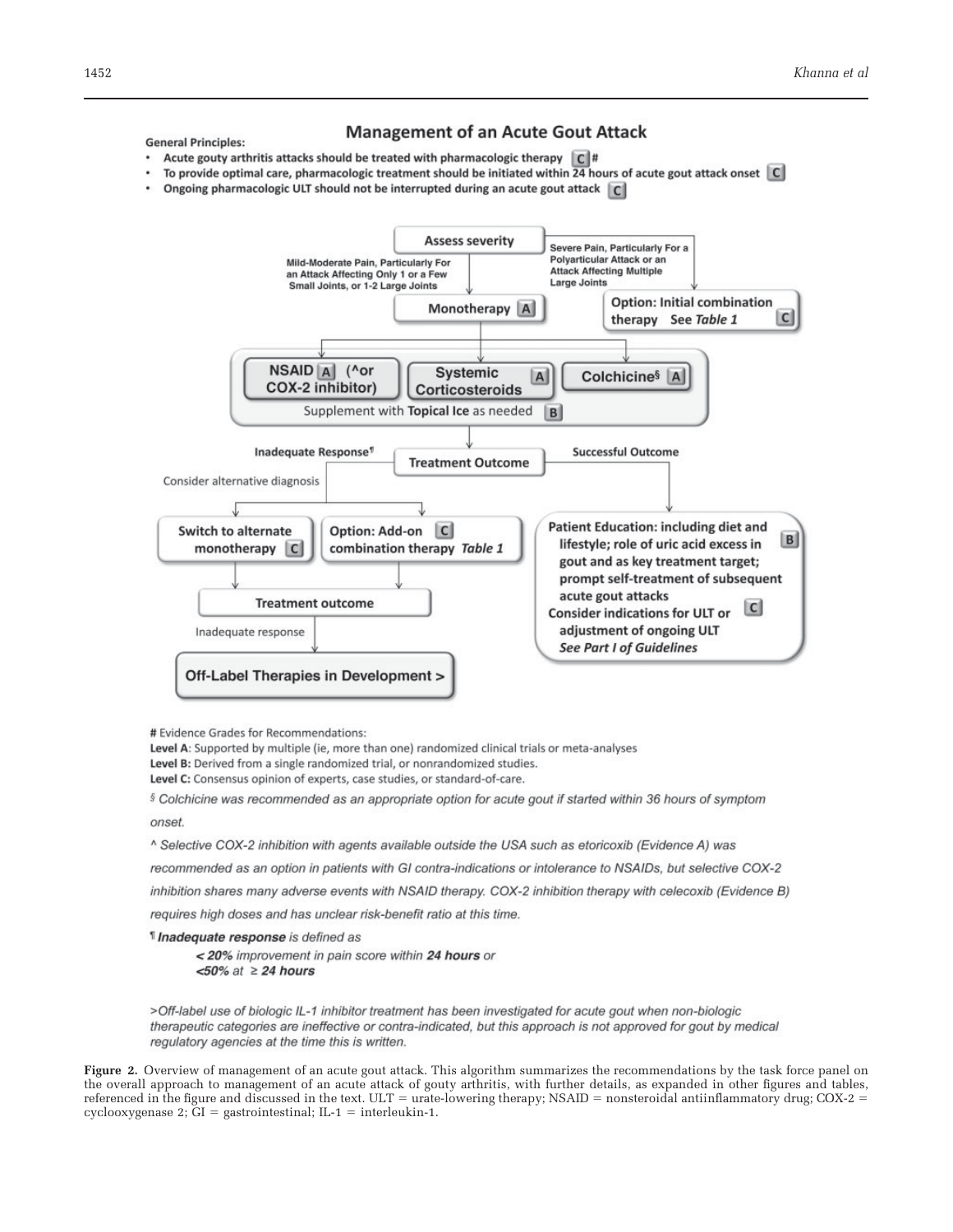# **Management of an Acute Gout Attack**

- Acute gouty arthritis attacks should be treated with pharmacologic therapy  $\|C\|^*$
- To provide optimal care, pharmacologic treatment should be initiated within 24 hours of acute gout attack onset  $|C|$
- Ongoing pharmacologic ULT should not be interrupted during an acute gout attack C ×.



# Evidence Grades for Recommendations:

Level A: Supported by multiple (ie, more than one) randomized clinical trials or meta-analyses

Level B: Derived from a single randomized trial, or nonrandomized studies.

Level C: Consensus opinion of experts, case studies, or standard-of-care.

§ Colchicine was recommended as an appropriate option for acute gout if started within 36 hours of symptom

onset.

^ Selective COX-2 inhibition with agents available outside the USA such as etoricoxib (Evidence A) was recommended as an option in patients with GI contra-indications or intolerance to NSAIDs, but selective COX-2 inhibition shares many adverse events with NSAID therapy. COX-2 inhibition therapy with celecoxib (Evidence B) requires high doses and has unclear risk-benefit ratio at this time.

Il Inadequate response is defined as

< 20% improvement in pain score within 24 hours or  $<50\%$  at  $\geq$  24 hours

>Off-label use of biologic IL-1 inhibitor treatment has been investigated for acute gout when non-biologic therapeutic categories are ineffective or contra-indicated, but this approach is not approved for gout by medical regulatory agencies at the time this is written.

**Figure 2.** Overview of management of an acute gout attack. This algorithm summarizes the recommendations by the task force panel on the overall approach to management of an acute attack of gouty arthritis, with further details, as expanded in other figures and tables, referenced in the figure and discussed in the text.  $ULT =$ urate-lowering therapy; NSAID = nonsteroidal antiinflammatory drug;  $COX-2$ cyclooxygenase 2;  $\overline{GI}$  = gastrointestinal; IL-1 = interleukin-1.

**General Principles:**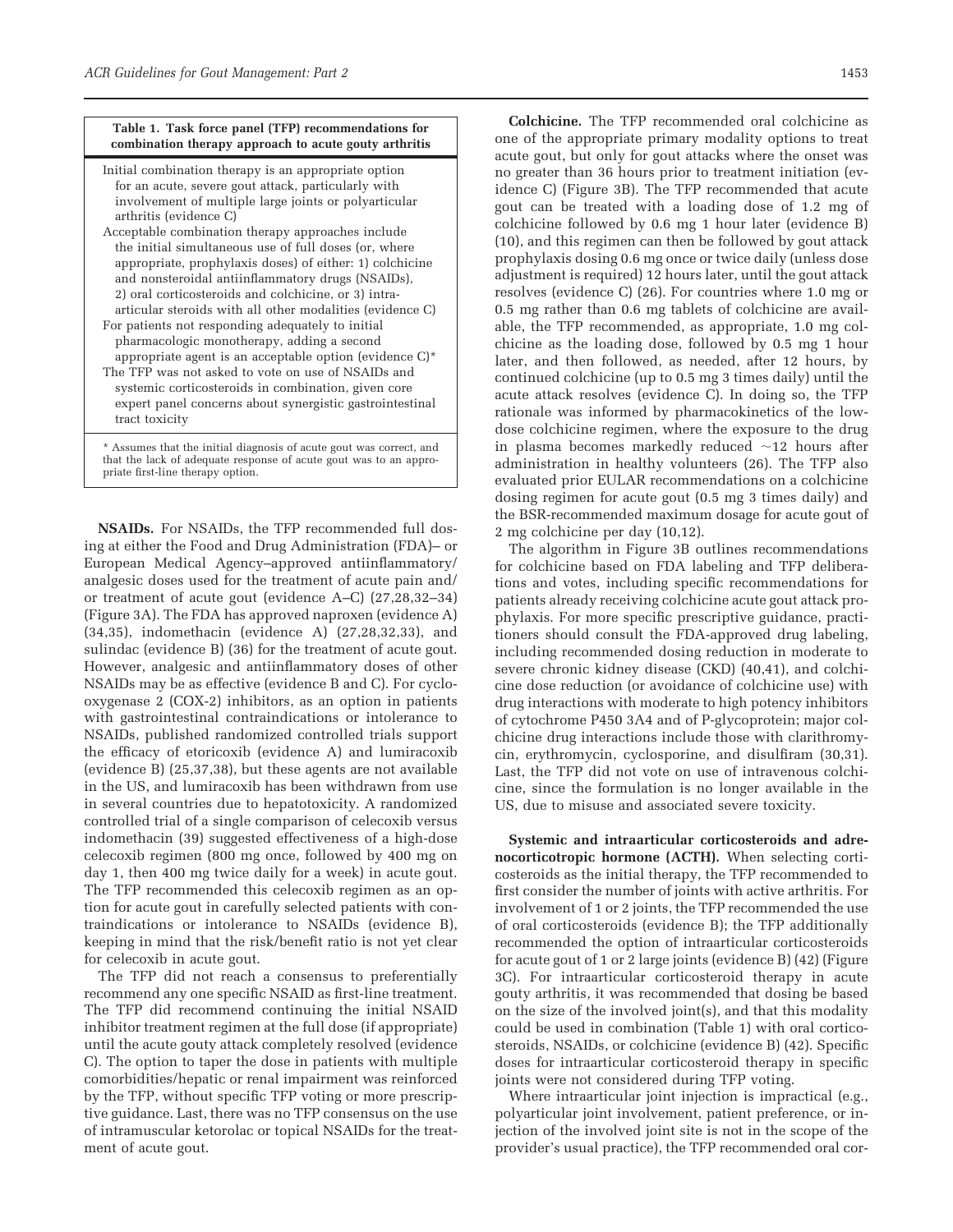#### **Table 1. Task force panel (TFP) recommendations for combination therapy approach to acute gouty arthritis**

Initial combination therapy is an appropriate option for an acute, severe gout attack, particularly with involvement of multiple large joints or polyarticular arthritis (evidence C)

- Acceptable combination therapy approaches include the initial simultaneous use of full doses (or, where appropriate, prophylaxis doses) of either: 1) colchicine and nonsteroidal antiinflammatory drugs (NSAIDs), 2) oral corticosteroids and colchicine, or 3) intra-
- articular steroids with all other modalities (evidence C) For patients not responding adequately to initial pharmacologic monotherapy, adding a second appropriate agent is an acceptable option (evidence C)\* The TFP was not asked to vote on use of NSAIDs and systemic corticosteroids in combination, given core

expert panel concerns about synergistic gastrointestinal tract toxicity

\* Assumes that the initial diagnosis of acute gout was correct, and that the lack of adequate response of acute gout was to an appropriate first-line therapy option.

**NSAIDs.** For NSAIDs, the TFP recommended full dosing at either the Food and Drug Administration (FDA)– or European Medical Agency–approved antiinflammatory/ analgesic doses used for the treatment of acute pain and/ or treatment of acute gout (evidence A–C) (27,28,32–34) (Figure 3A). The FDA has approved naproxen (evidence A) (34,35), indomethacin (evidence A) (27,28,32,33), and sulindac (evidence B) (36) for the treatment of acute gout. However, analgesic and antiinflammatory doses of other NSAIDs may be as effective (evidence B and C). For cyclooxygenase 2 (COX-2) inhibitors, as an option in patients with gastrointestinal contraindications or intolerance to NSAIDs, published randomized controlled trials support the efficacy of etoricoxib (evidence A) and lumiracoxib (evidence B) (25,37,38), but these agents are not available in the US, and lumiracoxib has been withdrawn from use in several countries due to hepatotoxicity. A randomized controlled trial of a single comparison of celecoxib versus indomethacin (39) suggested effectiveness of a high-dose celecoxib regimen (800 mg once, followed by 400 mg on day 1, then 400 mg twice daily for a week) in acute gout. The TFP recommended this celecoxib regimen as an option for acute gout in carefully selected patients with contraindications or intolerance to NSAIDs (evidence B), keeping in mind that the risk/benefit ratio is not yet clear for celecoxib in acute gout.

The TFP did not reach a consensus to preferentially recommend any one specific NSAID as first-line treatment. The TFP did recommend continuing the initial NSAID inhibitor treatment regimen at the full dose (if appropriate) until the acute gouty attack completely resolved (evidence C). The option to taper the dose in patients with multiple comorbidities/hepatic or renal impairment was reinforced by the TFP, without specific TFP voting or more prescriptive guidance. Last, there was no TFP consensus on the use of intramuscular ketorolac or topical NSAIDs for the treatment of acute gout.

**Colchicine.** The TFP recommended oral colchicine as one of the appropriate primary modality options to treat acute gout, but only for gout attacks where the onset was no greater than 36 hours prior to treatment initiation (evidence C) (Figure 3B). The TFP recommended that acute gout can be treated with a loading dose of 1.2 mg of colchicine followed by 0.6 mg 1 hour later (evidence B) (10), and this regimen can then be followed by gout attack prophylaxis dosing 0.6 mg once or twice daily (unless dose adjustment is required) 12 hours later, until the gout attack resolves (evidence C) (26). For countries where 1.0 mg or 0.5 mg rather than 0.6 mg tablets of colchicine are available, the TFP recommended, as appropriate, 1.0 mg colchicine as the loading dose, followed by 0.5 mg 1 hour later, and then followed, as needed, after 12 hours, by continued colchicine (up to 0.5 mg 3 times daily) until the acute attack resolves (evidence C). In doing so, the TFP rationale was informed by pharmacokinetics of the lowdose colchicine regimen, where the exposure to the drug in plasma becomes markedly reduced  $\sim$ 12 hours after administration in healthy volunteers (26). The TFP also evaluated prior EULAR recommendations on a colchicine dosing regimen for acute gout (0.5 mg 3 times daily) and the BSR-recommended maximum dosage for acute gout of 2 mg colchicine per day (10,12).

The algorithm in Figure 3B outlines recommendations for colchicine based on FDA labeling and TFP deliberations and votes, including specific recommendations for patients already receiving colchicine acute gout attack prophylaxis. For more specific prescriptive guidance, practitioners should consult the FDA-approved drug labeling, including recommended dosing reduction in moderate to severe chronic kidney disease (CKD) (40,41), and colchicine dose reduction (or avoidance of colchicine use) with drug interactions with moderate to high potency inhibitors of cytochrome P450 3A4 and of P-glycoprotein; major colchicine drug interactions include those with clarithromycin, erythromycin, cyclosporine, and disulfiram (30,31). Last, the TFP did not vote on use of intravenous colchicine, since the formulation is no longer available in the US, due to misuse and associated severe toxicity.

**Systemic and intraarticular corticosteroids and adrenocorticotropic hormone (ACTH).** When selecting corticosteroids as the initial therapy, the TFP recommended to first consider the number of joints with active arthritis. For involvement of 1 or 2 joints, the TFP recommended the use of oral corticosteroids (evidence B); the TFP additionally recommended the option of intraarticular corticosteroids for acute gout of 1 or 2 large joints (evidence B) (42) (Figure 3C). For intraarticular corticosteroid therapy in acute gouty arthritis, it was recommended that dosing be based on the size of the involved joint(s), and that this modality could be used in combination (Table 1) with oral corticosteroids, NSAIDs, or colchicine (evidence B) (42). Specific doses for intraarticular corticosteroid therapy in specific joints were not considered during TFP voting.

Where intraarticular joint injection is impractical (e.g., polyarticular joint involvement, patient preference, or injection of the involved joint site is not in the scope of the provider's usual practice), the TFP recommended oral cor-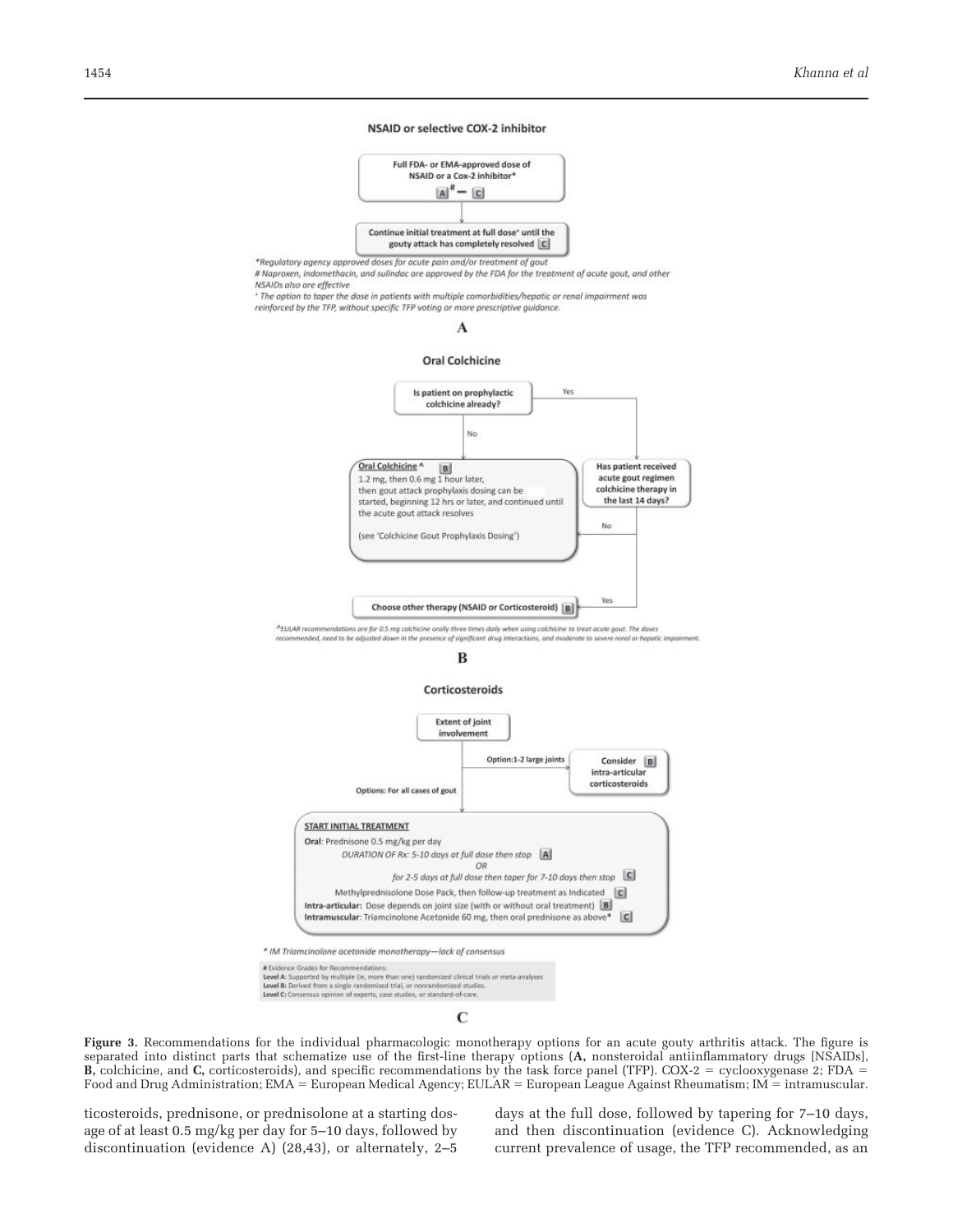#### **NSAID or selective COX-2 inhibitor**



**Figure 3.** Recommendations for the individual pharmacologic monotherapy options for an acute gouty arthritis attack. The figure is separated into distinct parts that schematize use of the first-line therapy options (**A,** nonsteroidal antiinflammatory drugs [NSAIDs], **B**, colchicine, and **C**, corticosteroids), and specific recommendations by the task force panel (TFP). COX-2 = cyclooxygenase 2; FDA = Food and Drug Administration; EMA = European Medical Agency; EULAR = European League Against Rheumatism; IM = intramuscular.

ticosteroids, prednisone, or prednisolone at a starting dosage of at least 0.5 mg/kg per day for 5–10 days, followed by discontinuation (evidence A) (28,43), or alternately, 2–5 days at the full dose, followed by tapering for 7–10 days, and then discontinuation (evidence C). Acknowledging current prevalence of usage, the TFP recommended, as an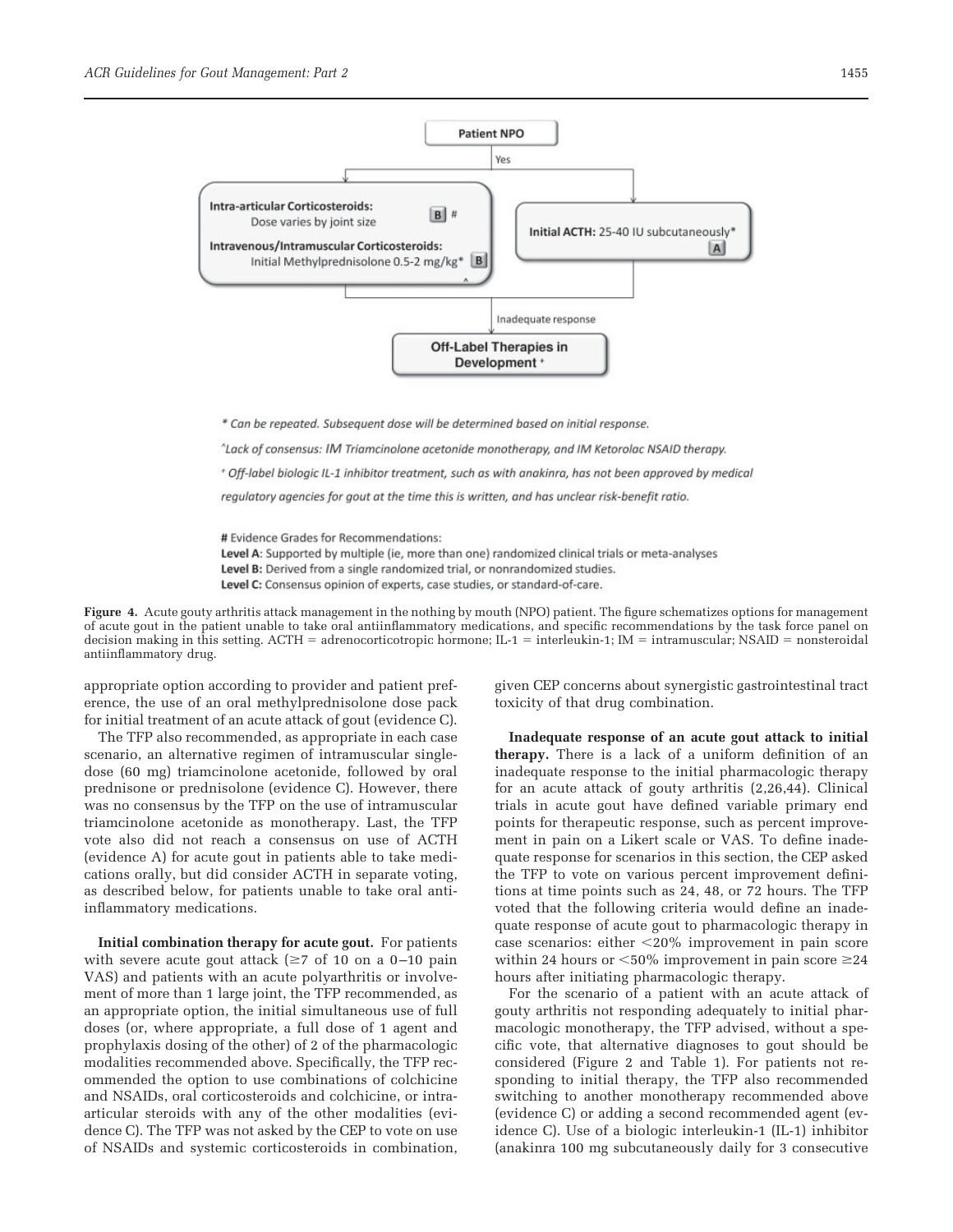

\* Can be repeated. Subsequent dose will be determined based on initial response.

"Lack of consensus: IM Triamcinolone acetonide monotherapy, and IM Ketorolac NSAID therapy.

\* Off-label biologic IL-1 inhibitor treatment, such as with anakinra, has not been approved by medical

regulatory agencies for gout at the time this is written, and has unclear risk-benefit ratio.

# Evidence Grades for Recommendations:

Level A: Supported by multiple (ie, more than one) randomized clinical trials or meta-analyses

Level B: Derived from a single randomized trial, or nonrandomized studies. Level C: Consensus opinion of experts, case studies, or standard-of-care.

**Figure 4.** Acute gouty arthritis attack management in the nothing by mouth (NPO) patient. The figure schematizes options for management of acute gout in the patient unable to take oral antiinflammatory medications, and specific recommendations by the task force panel on decision making in this setting. ACTH = adrenocorticotropic hormone;  $IL-1 = interleukin-1$ ;  $IM = intramuscular$ ; NSAID = nonsteroidal antiinflammatory drug.

appropriate option according to provider and patient preference, the use of an oral methylprednisolone dose pack for initial treatment of an acute attack of gout (evidence C).

The TFP also recommended, as appropriate in each case scenario, an alternative regimen of intramuscular singledose (60 mg) triamcinolone acetonide, followed by oral prednisone or prednisolone (evidence C). However, there was no consensus by the TFP on the use of intramuscular triamcinolone acetonide as monotherapy. Last, the TFP vote also did not reach a consensus on use of ACTH (evidence A) for acute gout in patients able to take medications orally, but did consider ACTH in separate voting, as described below, for patients unable to take oral antiinflammatory medications.

**Initial combination therapy for acute gout.** For patients with severe acute gout attack ( $\geq$ 7 of 10 on a 0–10 pain VAS) and patients with an acute polyarthritis or involvement of more than 1 large joint, the TFP recommended, as an appropriate option, the initial simultaneous use of full doses (or, where appropriate, a full dose of 1 agent and prophylaxis dosing of the other) of 2 of the pharmacologic modalities recommended above. Specifically, the TFP recommended the option to use combinations of colchicine and NSAIDs, oral corticosteroids and colchicine, or intraarticular steroids with any of the other modalities (evidence C). The TFP was not asked by the CEP to vote on use of NSAIDs and systemic corticosteroids in combination,

given CEP concerns about synergistic gastrointestinal tract toxicity of that drug combination.

**Inadequate response of an acute gout attack to initial therapy.** There is a lack of a uniform definition of an inadequate response to the initial pharmacologic therapy for an acute attack of gouty arthritis (2,26,44). Clinical trials in acute gout have defined variable primary end points for therapeutic response, such as percent improvement in pain on a Likert scale or VAS. To define inadequate response for scenarios in this section, the CEP asked the TFP to vote on various percent improvement definitions at time points such as 24, 48, or 72 hours. The TFP voted that the following criteria would define an inadequate response of acute gout to pharmacologic therapy in case scenarios: either -20% improvement in pain score within 24 hours or  ${<}50\%$  improvement in pain score  ${\ge}24$ hours after initiating pharmacologic therapy.

For the scenario of a patient with an acute attack of gouty arthritis not responding adequately to initial pharmacologic monotherapy, the TFP advised, without a specific vote, that alternative diagnoses to gout should be considered (Figure 2 and Table 1). For patients not responding to initial therapy, the TFP also recommended switching to another monotherapy recommended above (evidence C) or adding a second recommended agent (evidence C). Use of a biologic interleukin-1 (IL-1) inhibitor (anakinra 100 mg subcutaneously daily for 3 consecutive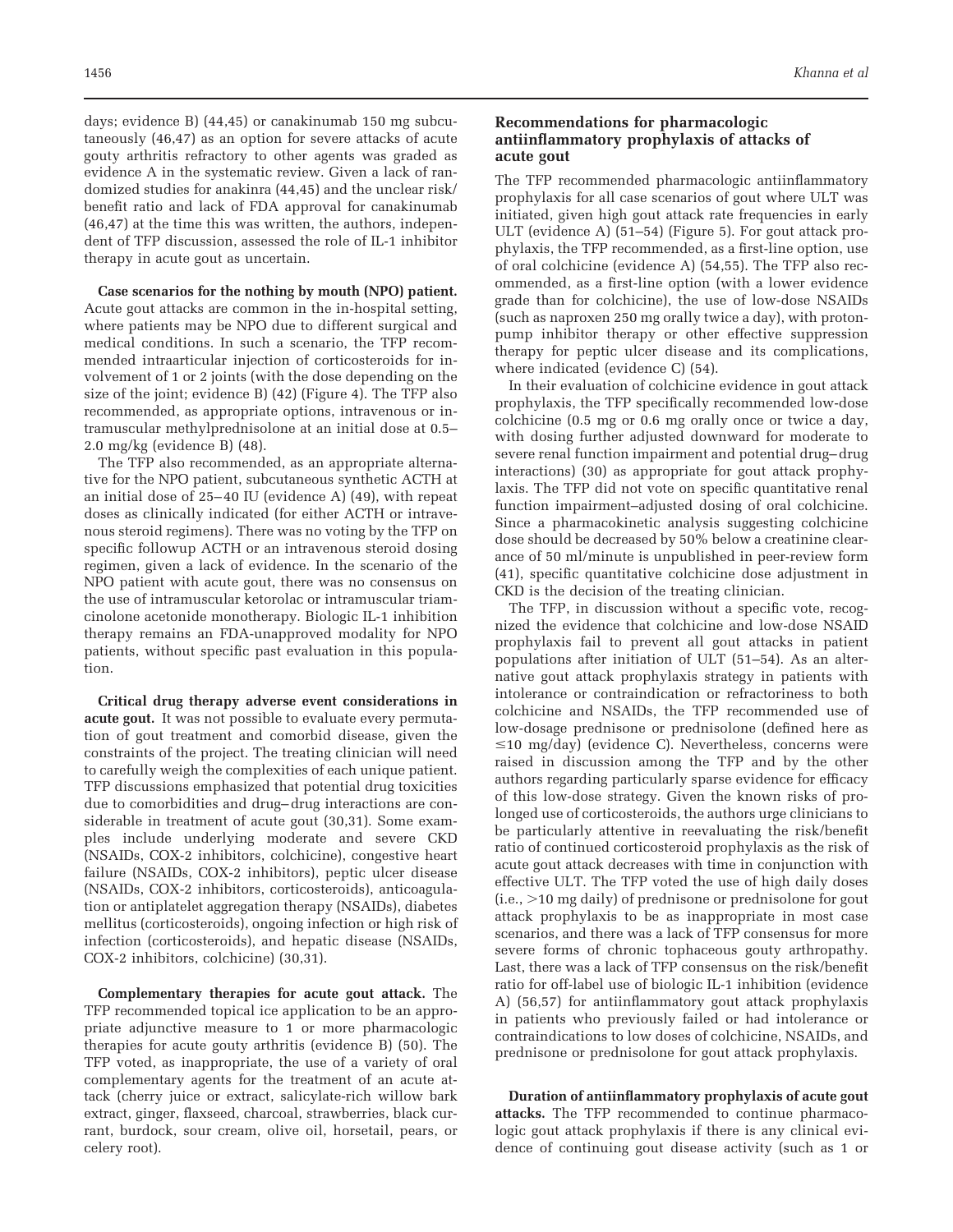days; evidence B) (44,45) or canakinumab 150 mg subcutaneously (46,47) as an option for severe attacks of acute gouty arthritis refractory to other agents was graded as evidence A in the systematic review. Given a lack of randomized studies for anakinra (44,45) and the unclear risk/ benefit ratio and lack of FDA approval for canakinumab (46,47) at the time this was written, the authors, independent of TFP discussion, assessed the role of IL-1 inhibitor therapy in acute gout as uncertain.

**Case scenarios for the nothing by mouth (NPO) patient.** Acute gout attacks are common in the in-hospital setting, where patients may be NPO due to different surgical and medical conditions. In such a scenario, the TFP recommended intraarticular injection of corticosteroids for involvement of 1 or 2 joints (with the dose depending on the size of the joint; evidence B) (42) (Figure 4). The TFP also recommended, as appropriate options, intravenous or intramuscular methylprednisolone at an initial dose at 0.5– 2.0 mg/kg (evidence B) (48).

The TFP also recommended, as an appropriate alternative for the NPO patient, subcutaneous synthetic ACTH at an initial dose of 25– 40 IU (evidence A) (49), with repeat doses as clinically indicated (for either ACTH or intravenous steroid regimens). There was no voting by the TFP on specific followup ACTH or an intravenous steroid dosing regimen, given a lack of evidence. In the scenario of the NPO patient with acute gout, there was no consensus on the use of intramuscular ketorolac or intramuscular triamcinolone acetonide monotherapy. Biologic IL-1 inhibition therapy remains an FDA-unapproved modality for NPO patients, without specific past evaluation in this population.

**Critical drug therapy adverse event considerations in acute gout.** It was not possible to evaluate every permutation of gout treatment and comorbid disease, given the constraints of the project. The treating clinician will need to carefully weigh the complexities of each unique patient. TFP discussions emphasized that potential drug toxicities due to comorbidities and drug–drug interactions are considerable in treatment of acute gout (30,31). Some examples include underlying moderate and severe CKD (NSAIDs, COX-2 inhibitors, colchicine), congestive heart failure (NSAIDs, COX-2 inhibitors), peptic ulcer disease (NSAIDs, COX-2 inhibitors, corticosteroids), anticoagulation or antiplatelet aggregation therapy (NSAIDs), diabetes mellitus (corticosteroids), ongoing infection or high risk of infection (corticosteroids), and hepatic disease (NSAIDs, COX-2 inhibitors, colchicine) (30,31).

**Complementary therapies for acute gout attack.** The TFP recommended topical ice application to be an appropriate adjunctive measure to 1 or more pharmacologic therapies for acute gouty arthritis (evidence B) (50). The TFP voted, as inappropriate, the use of a variety of oral complementary agents for the treatment of an acute attack (cherry juice or extract, salicylate-rich willow bark extract, ginger, flaxseed, charcoal, strawberries, black currant, burdock, sour cream, olive oil, horsetail, pears, or celery root).

# **Recommendations for pharmacologic antiinflammatory prophylaxis of attacks of acute gout**

The TFP recommended pharmacologic antiinflammatory prophylaxis for all case scenarios of gout where ULT was initiated, given high gout attack rate frequencies in early ULT (evidence A) (51–54) (Figure 5). For gout attack prophylaxis, the TFP recommended, as a first-line option, use of oral colchicine (evidence A) (54,55). The TFP also recommended, as a first-line option (with a lower evidence grade than for colchicine), the use of low-dose NSAIDs (such as naproxen 250 mg orally twice a day), with protonpump inhibitor therapy or other effective suppression therapy for peptic ulcer disease and its complications, where indicated (evidence C) (54).

In their evaluation of colchicine evidence in gout attack prophylaxis, the TFP specifically recommended low-dose colchicine (0.5 mg or 0.6 mg orally once or twice a day, with dosing further adjusted downward for moderate to severe renal function impairment and potential drug–drug interactions) (30) as appropriate for gout attack prophylaxis. The TFP did not vote on specific quantitative renal function impairment–adjusted dosing of oral colchicine. Since a pharmacokinetic analysis suggesting colchicine dose should be decreased by 50% below a creatinine clearance of 50 ml/minute is unpublished in peer-review form (41), specific quantitative colchicine dose adjustment in CKD is the decision of the treating clinician.

The TFP, in discussion without a specific vote, recognized the evidence that colchicine and low-dose NSAID prophylaxis fail to prevent all gout attacks in patient populations after initiation of ULT (51–54). As an alternative gout attack prophylaxis strategy in patients with intolerance or contraindication or refractoriness to both colchicine and NSAIDs, the TFP recommended use of low-dosage prednisone or prednisolone (defined here as -10 mg/day) (evidence C). Nevertheless, concerns were raised in discussion among the TFP and by the other authors regarding particularly sparse evidence for efficacy of this low-dose strategy. Given the known risks of prolonged use of corticosteroids, the authors urge clinicians to be particularly attentive in reevaluating the risk/benefit ratio of continued corticosteroid prophylaxis as the risk of acute gout attack decreases with time in conjunction with effective ULT. The TFP voted the use of high daily doses  $(i.e., >10$  mg daily) of prednisone or prednisolone for gout attack prophylaxis to be as inappropriate in most case scenarios, and there was a lack of TFP consensus for more severe forms of chronic tophaceous gouty arthropathy. Last, there was a lack of TFP consensus on the risk/benefit ratio for off-label use of biologic IL-1 inhibition (evidence A) (56,57) for antiinflammatory gout attack prophylaxis in patients who previously failed or had intolerance or contraindications to low doses of colchicine, NSAIDs, and prednisone or prednisolone for gout attack prophylaxis.

**Duration of antiinflammatory prophylaxis of acute gout attacks.** The TFP recommended to continue pharmacologic gout attack prophylaxis if there is any clinical evidence of continuing gout disease activity (such as 1 or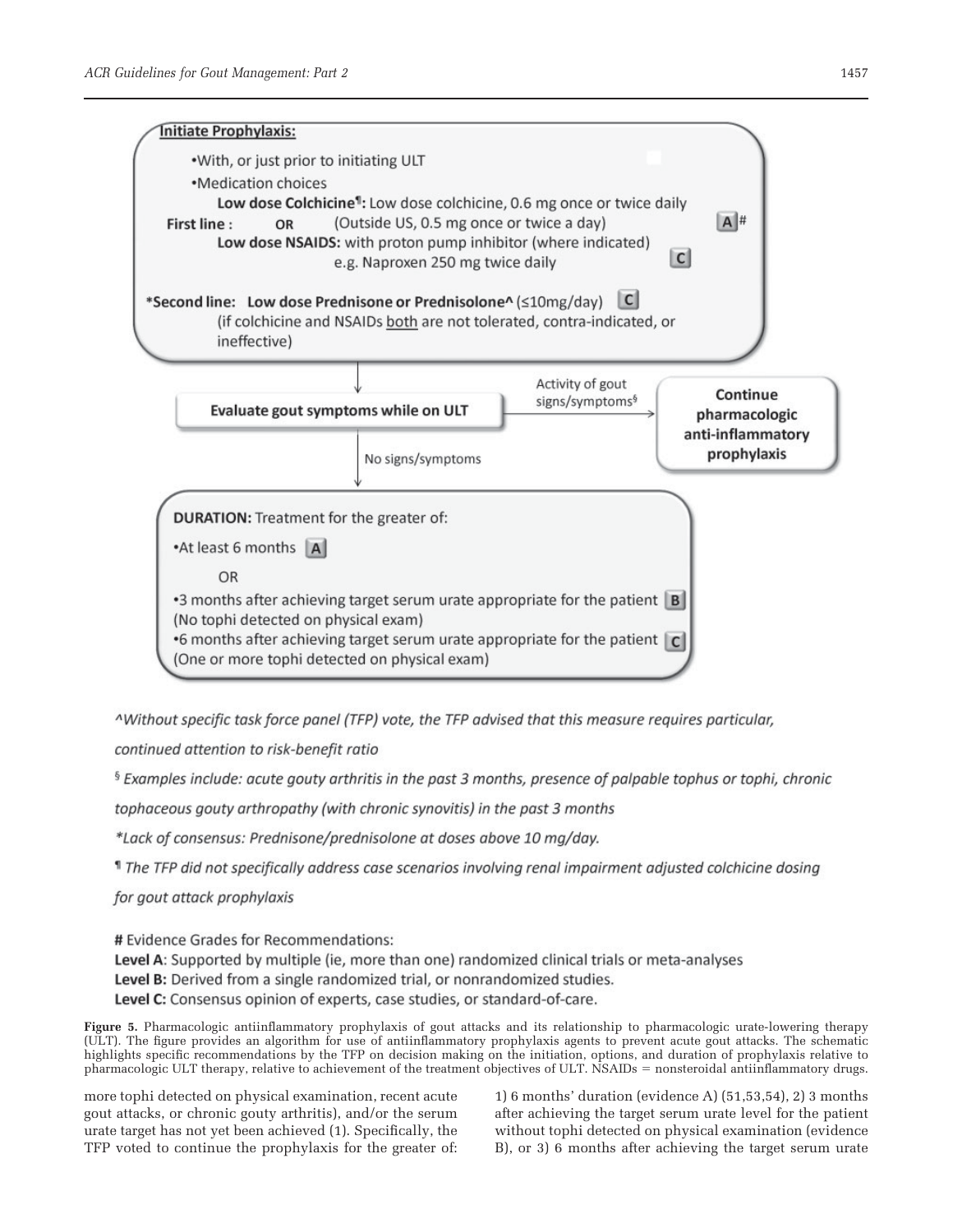

AWithout specific task force panel (TFP) vote, the TFP advised that this measure requires particular,

continued attention to risk-benefit ratio

<sup>§</sup> Examples include: acute gouty arthritis in the past 3 months, presence of palpable tophus or tophi, chronic

tophaceous gouty arthropathy (with chronic synovitis) in the past 3 months

\*Lack of consensus: Prednisone/prednisolone at doses above 10 mg/day.

*If* the TFP did not specifically address case scenarios involving renal impairment adjusted colchicine dosing

for gout attack prophylaxis

# Evidence Grades for Recommendations:

- **Level A:** Supported by multiple (ie, more than one) randomized clinical trials or meta-analyses
- Level B: Derived from a single randomized trial, or nonrandomized studies.

Level C: Consensus opinion of experts, case studies, or standard-of-care.

**Figure 5.** Pharmacologic antiinflammatory prophylaxis of gout attacks and its relationship to pharmacologic urate-lowering therapy (ULT). The figure provides an algorithm for use of antiinflammatory prophylaxis agents to prevent acute gout attacks. The schematic highlights specific recommendations by the TFP on decision making on the initiation, options, and duration of prophylaxis relative to pharmacologic ULT therapy, relative to achievement of the treatment objectives of ULT. NSAIDs = nonsteroidal antiinflammatory drugs.

more tophi detected on physical examination, recent acute gout attacks, or chronic gouty arthritis), and/or the serum urate target has not yet been achieved (1). Specifically, the TFP voted to continue the prophylaxis for the greater of: 1) 6 months' duration (evidence A) (51,53,54), 2) 3 months after achieving the target serum urate level for the patient without tophi detected on physical examination (evidence B), or 3) 6 months after achieving the target serum urate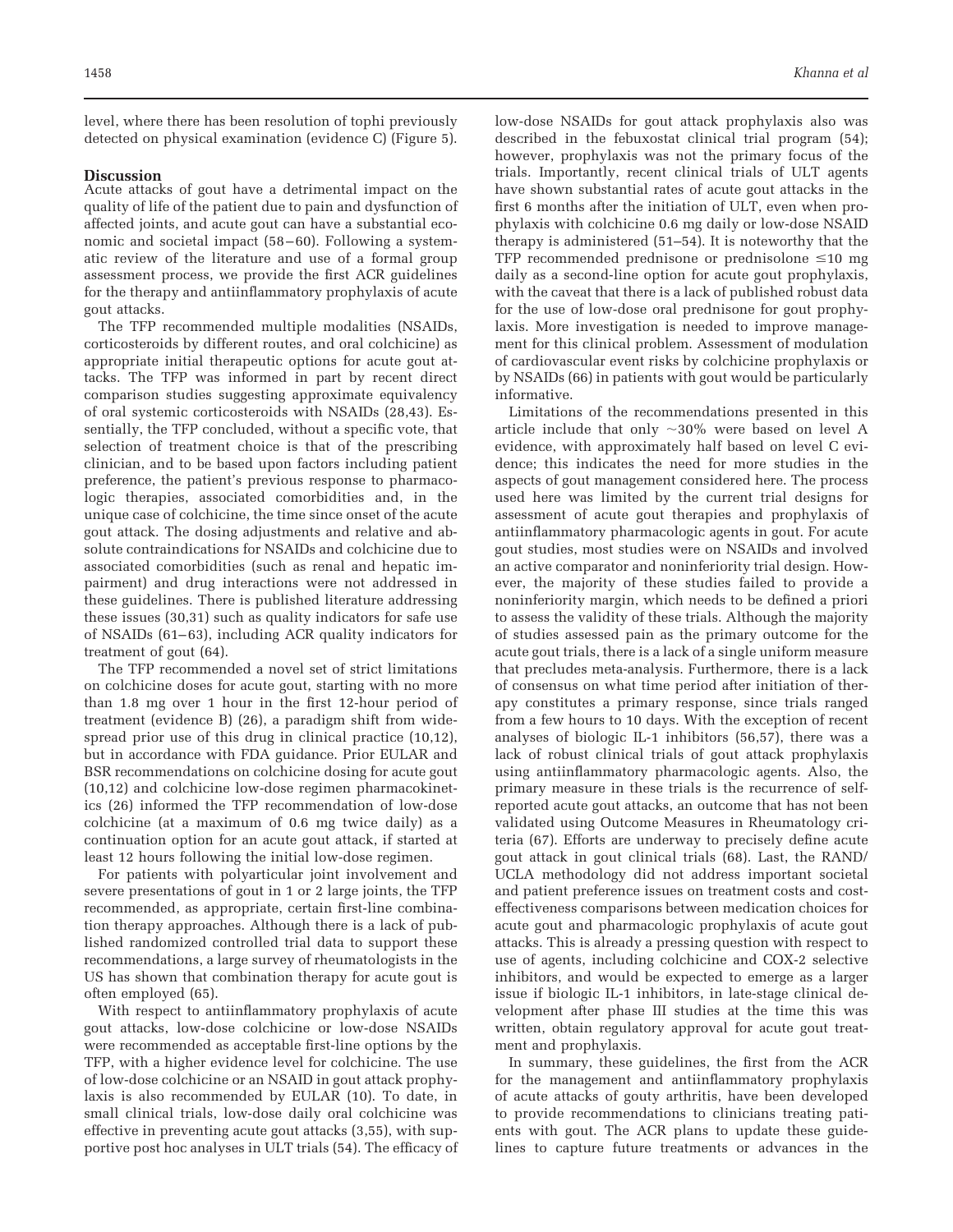level, where there has been resolution of tophi previously detected on physical examination (evidence C) (Figure 5).

#### **Discussion**

Acute attacks of gout have a detrimental impact on the quality of life of the patient due to pain and dysfunction of affected joints, and acute gout can have a substantial economic and societal impact (58 – 60). Following a systematic review of the literature and use of a formal group assessment process, we provide the first ACR guidelines for the therapy and antiinflammatory prophylaxis of acute gout attacks.

The TFP recommended multiple modalities (NSAIDs, corticosteroids by different routes, and oral colchicine) as appropriate initial therapeutic options for acute gout attacks. The TFP was informed in part by recent direct comparison studies suggesting approximate equivalency of oral systemic corticosteroids with NSAIDs (28,43). Essentially, the TFP concluded, without a specific vote, that selection of treatment choice is that of the prescribing clinician, and to be based upon factors including patient preference, the patient's previous response to pharmacologic therapies, associated comorbidities and, in the unique case of colchicine, the time since onset of the acute gout attack. The dosing adjustments and relative and absolute contraindications for NSAIDs and colchicine due to associated comorbidities (such as renal and hepatic impairment) and drug interactions were not addressed in these guidelines. There is published literature addressing these issues (30,31) such as quality indicators for safe use of NSAIDs (61– 63), including ACR quality indicators for treatment of gout (64).

The TFP recommended a novel set of strict limitations on colchicine doses for acute gout, starting with no more than 1.8 mg over 1 hour in the first 12-hour period of treatment (evidence B) (26), a paradigm shift from widespread prior use of this drug in clinical practice (10,12), but in accordance with FDA guidance. Prior EULAR and BSR recommendations on colchicine dosing for acute gout (10,12) and colchicine low-dose regimen pharmacokinetics (26) informed the TFP recommendation of low-dose colchicine (at a maximum of 0.6 mg twice daily) as a continuation option for an acute gout attack, if started at least 12 hours following the initial low-dose regimen.

For patients with polyarticular joint involvement and severe presentations of gout in 1 or 2 large joints, the TFP recommended, as appropriate, certain first-line combination therapy approaches. Although there is a lack of published randomized controlled trial data to support these recommendations, a large survey of rheumatologists in the US has shown that combination therapy for acute gout is often employed (65).

With respect to antiinflammatory prophylaxis of acute gout attacks, low-dose colchicine or low-dose NSAIDs were recommended as acceptable first-line options by the TFP, with a higher evidence level for colchicine. The use of low-dose colchicine or an NSAID in gout attack prophylaxis is also recommended by EULAR (10). To date, in small clinical trials, low-dose daily oral colchicine was effective in preventing acute gout attacks (3,55), with supportive post hoc analyses in ULT trials (54). The efficacy of low-dose NSAIDs for gout attack prophylaxis also was described in the febuxostat clinical trial program (54); however, prophylaxis was not the primary focus of the trials. Importantly, recent clinical trials of ULT agents have shown substantial rates of acute gout attacks in the first 6 months after the initiation of ULT, even when prophylaxis with colchicine 0.6 mg daily or low-dose NSAID therapy is administered (51–54). It is noteworthy that the TFP recommended prednisone or prednisolone  $\leq 10$  mg daily as a second-line option for acute gout prophylaxis, with the caveat that there is a lack of published robust data for the use of low-dose oral prednisone for gout prophylaxis. More investigation is needed to improve management for this clinical problem. Assessment of modulation of cardiovascular event risks by colchicine prophylaxis or by NSAIDs (66) in patients with gout would be particularly informative.

Limitations of the recommendations presented in this article include that only  $\sim$ 30% were based on level A evidence, with approximately half based on level C evidence; this indicates the need for more studies in the aspects of gout management considered here. The process used here was limited by the current trial designs for assessment of acute gout therapies and prophylaxis of antiinflammatory pharmacologic agents in gout. For acute gout studies, most studies were on NSAIDs and involved an active comparator and noninferiority trial design. However, the majority of these studies failed to provide a noninferiority margin, which needs to be defined a priori to assess the validity of these trials. Although the majority of studies assessed pain as the primary outcome for the acute gout trials, there is a lack of a single uniform measure that precludes meta-analysis. Furthermore, there is a lack of consensus on what time period after initiation of therapy constitutes a primary response, since trials ranged from a few hours to 10 days. With the exception of recent analyses of biologic IL-1 inhibitors (56,57), there was a lack of robust clinical trials of gout attack prophylaxis using antiinflammatory pharmacologic agents. Also, the primary measure in these trials is the recurrence of selfreported acute gout attacks, an outcome that has not been validated using Outcome Measures in Rheumatology criteria (67). Efforts are underway to precisely define acute gout attack in gout clinical trials (68). Last, the RAND/ UCLA methodology did not address important societal and patient preference issues on treatment costs and costeffectiveness comparisons between medication choices for acute gout and pharmacologic prophylaxis of acute gout attacks. This is already a pressing question with respect to use of agents, including colchicine and COX-2 selective inhibitors, and would be expected to emerge as a larger issue if biologic IL-1 inhibitors, in late-stage clinical development after phase III studies at the time this was written, obtain regulatory approval for acute gout treatment and prophylaxis.

In summary, these guidelines, the first from the ACR for the management and antiinflammatory prophylaxis of acute attacks of gouty arthritis, have been developed to provide recommendations to clinicians treating patients with gout. The ACR plans to update these guidelines to capture future treatments or advances in the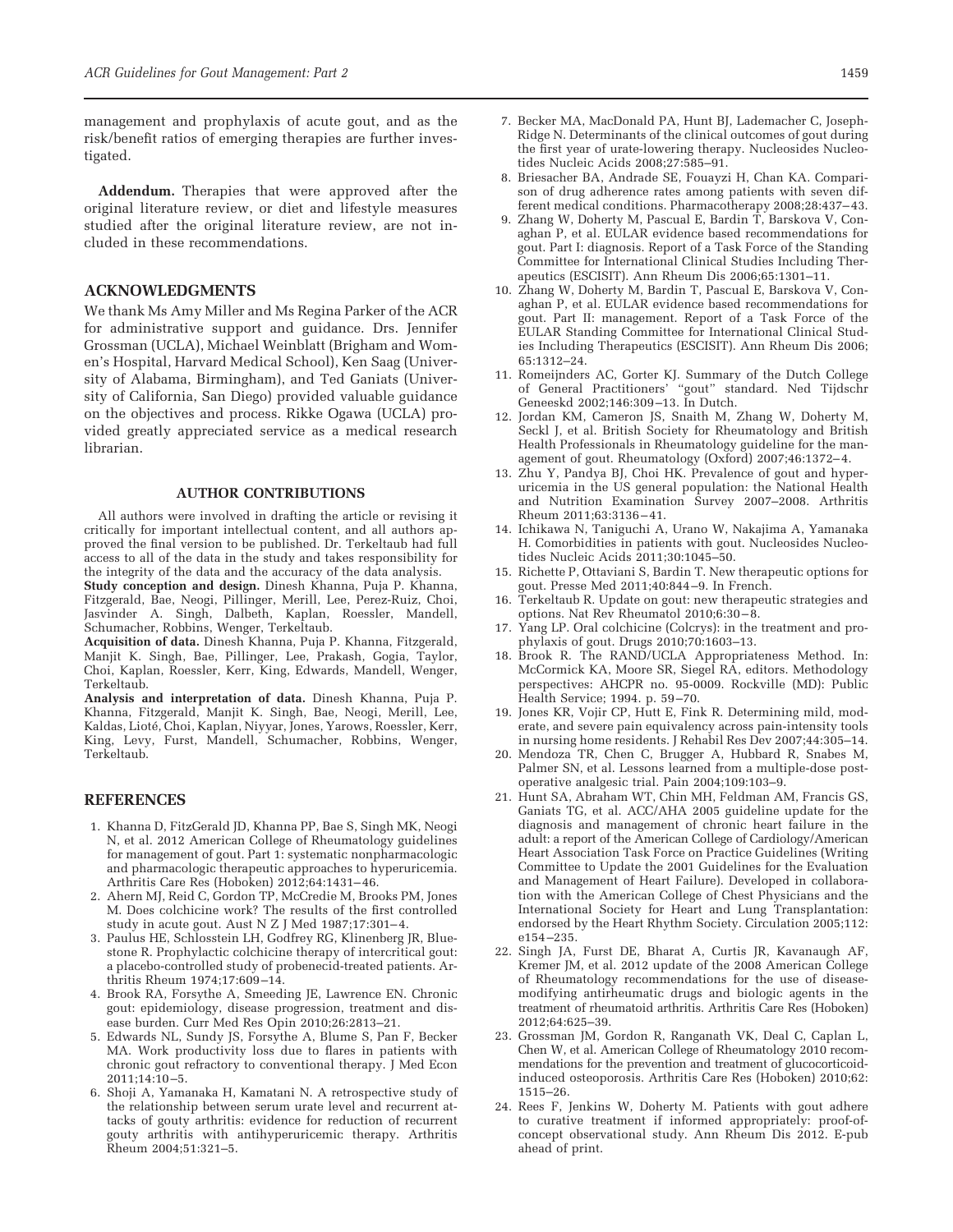management and prophylaxis of acute gout, and as the risk/benefit ratios of emerging therapies are further investigated.

**Addendum.** Therapies that were approved after the original literature review, or diet and lifestyle measures studied after the original literature review, are not included in these recommendations.

## **ACKNOWLEDGMENTS**

We thank Ms Amy Miller and Ms Regina Parker of the ACR for administrative support and guidance. Drs. Jennifer Grossman (UCLA), Michael Weinblatt (Brigham and Women's Hospital, Harvard Medical School), Ken Saag (University of Alabama, Birmingham), and Ted Ganiats (University of California, San Diego) provided valuable guidance on the objectives and process. Rikke Ogawa (UCLA) provided greatly appreciated service as a medical research librarian.

#### **AUTHOR CONTRIBUTIONS**

All authors were involved in drafting the article or revising it critically for important intellectual content, and all authors approved the final version to be published. Dr. Terkeltaub had full access to all of the data in the study and takes responsibility for the integrity of the data and the accuracy of the data analysis.

**Study conception and design.** Dinesh Khanna, Puja P. Khanna, Fitzgerald, Bae, Neogi, Pillinger, Merill, Lee, Perez-Ruiz, Choi, Jasvinder A. Singh, Dalbeth, Kaplan, Roessler, Mandell, Schumacher, Robbins, Wenger, Terkeltaub.

**Acquisition of data.** Dinesh Khanna, Puja P. Khanna, Fitzgerald, Manjit K. Singh, Bae, Pillinger, Lee, Prakash, Gogia, Taylor, Choi, Kaplan, Roessler, Kerr, King, Edwards, Mandell, Wenger, Terkeltaub.

**Analysis and interpretation of data.** Dinesh Khanna, Puja P. Khanna, Fitzgerald, Manjit K. Singh, Bae, Neogi, Merill, Lee, Kaldas, Lioté, Choi, Kaplan, Niyyar, Jones, Yarows, Roessler, Kerr, King, Levy, Furst, Mandell, Schumacher, Robbins, Wenger, Terkeltaub.

#### **REFERENCES**

- 1. Khanna D, FitzGerald JD, Khanna PP, Bae S, Singh MK, Neogi N, et al. 2012 American College of Rheumatology guidelines for management of gout. Part 1: systematic nonpharmacologic and pharmacologic therapeutic approaches to hyperuricemia. Arthritis Care Res (Hoboken) 2012;64:1431– 46.
- 2. Ahern MJ, Reid C, Gordon TP, McCredie M, Brooks PM, Jones M. Does colchicine work? The results of the first controlled study in acute gout. Aust N Z J Med 1987;17:301-4.
- 3. Paulus HE, Schlosstein LH, Godfrey RG, Klinenberg JR, Bluestone R. Prophylactic colchicine therapy of intercritical gout: a placebo-controlled study of probenecid-treated patients. Arthritis Rheum 1974;17:609 –14.
- 4. Brook RA, Forsythe A, Smeeding JE, Lawrence EN. Chronic gout: epidemiology, disease progression, treatment and disease burden. Curr Med Res Opin 2010;26:2813–21.
- 5. Edwards NL, Sundy JS, Forsythe A, Blume S, Pan F, Becker MA. Work productivity loss due to flares in patients with chronic gout refractory to conventional therapy. J Med Econ 2011;14:10 –5.
- 6. Shoji A, Yamanaka H, Kamatani N. A retrospective study of the relationship between serum urate level and recurrent attacks of gouty arthritis: evidence for reduction of recurrent gouty arthritis with antihyperuricemic therapy. Arthritis Rheum 2004;51:321–5.
- 7. Becker MA, MacDonald PA, Hunt BJ, Lademacher C, Joseph-Ridge N. Determinants of the clinical outcomes of gout during the first year of urate-lowering therapy. Nucleosides Nucleotides Nucleic Acids 2008;27:585–91.
- 8. Briesacher BA, Andrade SE, Fouayzi H, Chan KA. Comparison of drug adherence rates among patients with seven different medical conditions. Pharmacotherapy 2008;28:437– 43.
- 9. Zhang W, Doherty M, Pascual E, Bardin T, Barskova V, Conaghan P, et al. EULAR evidence based recommendations for gout. Part I: diagnosis. Report of a Task Force of the Standing Committee for International Clinical Studies Including Therapeutics (ESCISIT). Ann Rheum Dis 2006;65:1301–11.
- 10. Zhang W, Doherty M, Bardin T, Pascual E, Barskova V, Conaghan P, et al. EULAR evidence based recommendations for gout. Part II: management. Report of a Task Force of the EULAR Standing Committee for International Clinical Studies Including Therapeutics (ESCISIT). Ann Rheum Dis 2006; 65:1312–24.
- 11. Romeijnders AC, Gorter KJ. Summary of the Dutch College of General Practitioners' "gout" standard. Ned Tijdschr Geneeskd 2002;146:309 –13. In Dutch.
- 12. Jordan KM, Cameron JS, Snaith M, Zhang W, Doherty M, Seckl J, et al. British Society for Rheumatology and British Health Professionals in Rheumatology guideline for the management of gout. Rheumatology (Oxford) 2007;46:1372– 4.
- 13. Zhu Y, Pandya BJ, Choi HK. Prevalence of gout and hyperuricemia in the US general population: the National Health and Nutrition Examination Survey 2007–2008. Arthritis Rheum 2011;63:3136 – 41.
- 14. Ichikawa N, Taniguchi A, Urano W, Nakajima A, Yamanaka H. Comorbidities in patients with gout. Nucleosides Nucleotides Nucleic Acids 2011;30:1045–50.
- 15. Richette P, Ottaviani S, Bardin T. New therapeutic options for gout. Presse Med 2011;40:844 –9. In French.
- 16. Terkeltaub R. Update on gout: new therapeutic strategies and options. Nat Rev Rheumatol 2010;6:30 – 8.
- 17. Yang LP. Oral colchicine (Colcrys): in the treatment and prophylaxis of gout. Drugs 2010;70:1603–13.
- 18. Brook R. The RAND/UCLA Appropriateness Method. In: McCormick KA, Moore SR, Siegel RA, editors. Methodology perspectives: AHCPR no. 95-0009. Rockville (MD): Public Health Service; 1994. p. 59 –70.
- 19. Jones KR, Vojir CP, Hutt E, Fink R. Determining mild, moderate, and severe pain equivalency across pain-intensity tools in nursing home residents. J Rehabil Res Dev 2007;44:305–14.
- 20. Mendoza TR, Chen C, Brugger A, Hubbard R, Snabes M, Palmer SN, et al. Lessons learned from a multiple-dose postoperative analgesic trial. Pain 2004;109:103–9.
- 21. Hunt SA, Abraham WT, Chin MH, Feldman AM, Francis GS, Ganiats TG, et al. ACC/AHA 2005 guideline update for the diagnosis and management of chronic heart failure in the adult: a report of the American College of Cardiology/American Heart Association Task Force on Practice Guidelines (Writing Committee to Update the 2001 Guidelines for the Evaluation and Management of Heart Failure). Developed in collaboration with the American College of Chest Physicians and the International Society for Heart and Lung Transplantation: endorsed by the Heart Rhythm Society. Circulation 2005;112: e154 –235.
- 22. Singh JA, Furst DE, Bharat A, Curtis JR, Kavanaugh AF, Kremer JM, et al. 2012 update of the 2008 American College of Rheumatology recommendations for the use of diseasemodifying antirheumatic drugs and biologic agents in the treatment of rheumatoid arthritis. Arthritis Care Res (Hoboken) 2012;64:625–39.
- 23. Grossman JM, Gordon R, Ranganath VK, Deal C, Caplan L, Chen W, et al. American College of Rheumatology 2010 recommendations for the prevention and treatment of glucocorticoidinduced osteoporosis. Arthritis Care Res (Hoboken) 2010;62: 1515–26.
- 24. Rees F, Jenkins W, Doherty M. Patients with gout adhere to curative treatment if informed appropriately: proof-ofconcept observational study. Ann Rheum Dis 2012. E-pub ahead of print.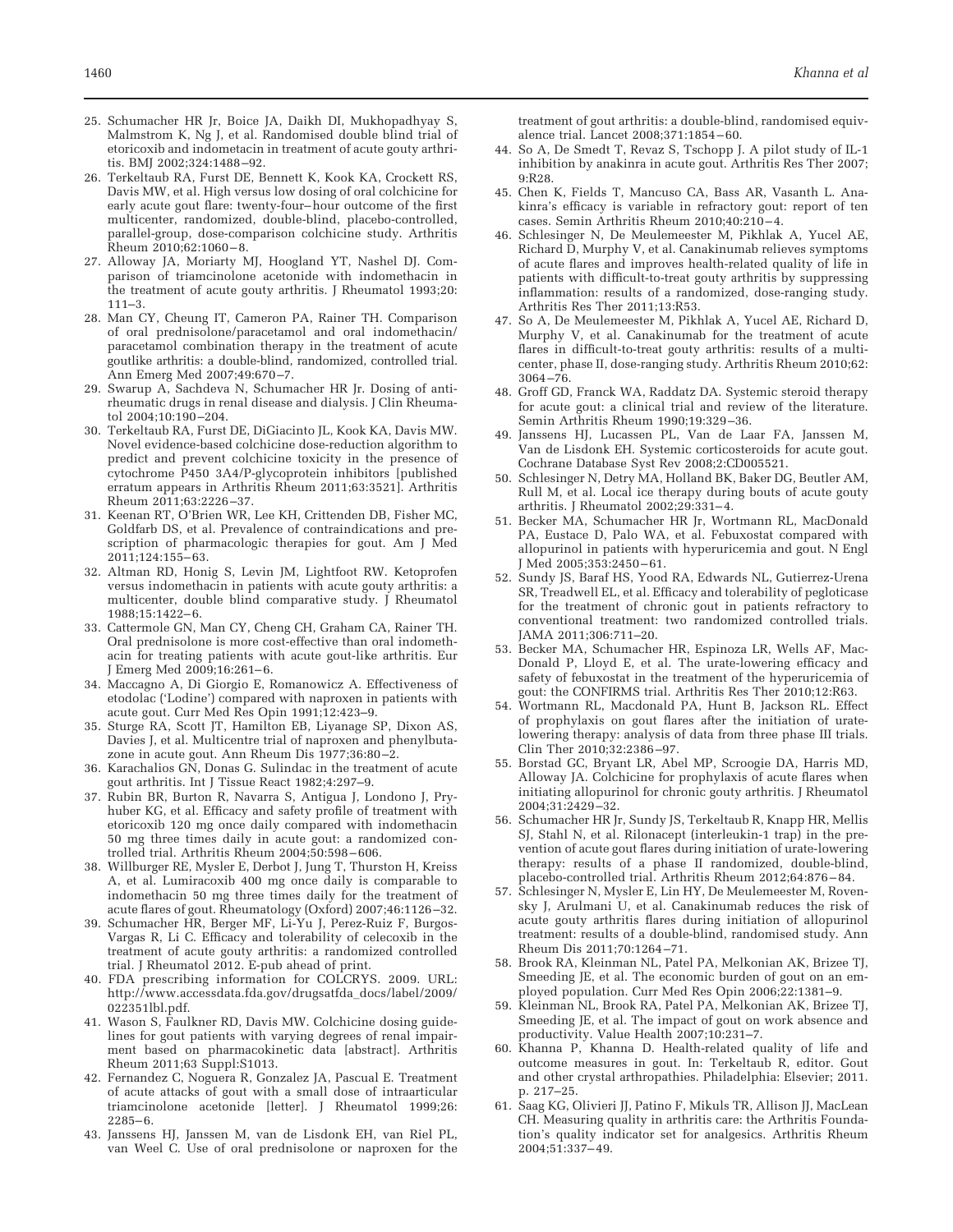- 25. Schumacher HR Jr, Boice JA, Daikh DI, Mukhopadhyay S, Malmstrom K, Ng J, et al. Randomised double blind trial of etoricoxib and indometacin in treatment of acute gouty arthritis. BMJ 2002;324:1488 –92.
- 26. Terkeltaub RA, Furst DE, Bennett K, Kook KA, Crockett RS, Davis MW, et al. High versus low dosing of oral colchicine for early acute gout flare: twenty-four–hour outcome of the first multicenter, randomized, double-blind, placebo-controlled, parallel-group, dose-comparison colchicine study. Arthritis Rheum 2010;62:1060 – 8.
- 27. Alloway JA, Moriarty MJ, Hoogland YT, Nashel DJ. Comparison of triamcinolone acetonide with indomethacin in the treatment of acute gouty arthritis. J Rheumatol 1993;20:  $111 - 3.$
- 28. Man CY, Cheung IT, Cameron PA, Rainer TH. Comparison of oral prednisolone/paracetamol and oral indomethacin/ paracetamol combination therapy in the treatment of acute goutlike arthritis: a double-blind, randomized, controlled trial. Ann Emerg Med 2007;49:670 –7.
- 29. Swarup A, Sachdeva N, Schumacher HR Jr. Dosing of antirheumatic drugs in renal disease and dialysis. J Clin Rheumatol 2004;10:190 –204.
- 30. Terkeltaub RA, Furst DE, DiGiacinto JL, Kook KA, Davis MW. Novel evidence-based colchicine dose-reduction algorithm to predict and prevent colchicine toxicity in the presence of cytochrome P450 3A4/P-glycoprotein inhibitors [published erratum appears in Arthritis Rheum 2011;63:3521]. Arthritis Rheum 2011;63:2226 –37.
- 31. Keenan RT, O'Brien WR, Lee KH, Crittenden DB, Fisher MC, Goldfarb DS, et al. Prevalence of contraindications and prescription of pharmacologic therapies for gout. Am J Med 2011;124:155– 63.
- 32. Altman RD, Honig S, Levin JM, Lightfoot RW. Ketoprofen versus indomethacin in patients with acute gouty arthritis: a multicenter, double blind comparative study. J Rheumatol 1988;15:1422– 6.
- 33. Cattermole GN, Man CY, Cheng CH, Graham CA, Rainer TH. Oral prednisolone is more cost-effective than oral indomethacin for treating patients with acute gout-like arthritis. Eur J Emerg Med 2009;16:261– 6.
- 34. Maccagno A, Di Giorgio E, Romanowicz A. Effectiveness of etodolac ('Lodine') compared with naproxen in patients with acute gout. Curr Med Res Opin 1991;12:423–9.
- 35. Sturge RA, Scott JT, Hamilton EB, Liyanage SP, Dixon AS, Davies J, et al. Multicentre trial of naproxen and phenylbutazone in acute gout. Ann Rheum Dis 1977;36:80 –2.
- 36. Karachalios GN, Donas G. Sulindac in the treatment of acute gout arthritis. Int J Tissue React 1982;4:297–9.
- 37. Rubin BR, Burton R, Navarra S, Antigua J, Londono J, Pryhuber KG, et al. Efficacy and safety profile of treatment with etoricoxib 120 mg once daily compared with indomethacin 50 mg three times daily in acute gout: a randomized controlled trial. Arthritis Rheum 2004;50:598 – 606.
- 38. Willburger RE, Mysler E, Derbot J, Jung T, Thurston H, Kreiss A, et al. Lumiracoxib 400 mg once daily is comparable to indomethacin 50 mg three times daily for the treatment of acute flares of gout. Rheumatology (Oxford) 2007;46:1126 –32.
- 39. Schumacher HR, Berger MF, Li-Yu J, Perez-Ruiz F, Burgos-Vargas R, Li C. Efficacy and tolerability of celecoxib in the treatment of acute gouty arthritis: a randomized controlled trial. J Rheumatol 2012. E-pub ahead of print.
- 40. FDA prescribing information for COLCRYS. 2009. URL: http://www.accessdata.fda.gov/drugsatfda\_docs/label/2009/ 022351lbl.pdf.
- 41. Wason S, Faulkner RD, Davis MW. Colchicine dosing guidelines for gout patients with varying degrees of renal impairment based on pharmacokinetic data [abstract]. Arthritis Rheum 2011;63 Suppl:S1013.
- 42. Fernandez C, Noguera R, Gonzalez JA, Pascual E. Treatment of acute attacks of gout with a small dose of intraarticular triamcinolone acetonide [letter]. J Rheumatol 1999;26:  $2285 - 6.$
- 43. Janssens HJ, Janssen M, van de Lisdonk EH, van Riel PL, van Weel C. Use of oral prednisolone or naproxen for the

treatment of gout arthritis: a double-blind, randomised equivalence trial. Lancet 2008;371:1854 – 60.

- 44. So A, De Smedt T, Revaz S, Tschopp J. A pilot study of IL-1 inhibition by anakinra in acute gout. Arthritis Res Ther 2007; 9:R28.
- 45. Chen K, Fields T, Mancuso CA, Bass AR, Vasanth L. Anakinra's efficacy is variable in refractory gout: report of ten cases. Semin Arthritis Rheum 2010;40:210 – 4.
- 46. Schlesinger N, De Meulemeester M, Pikhlak A, Yucel AE, Richard D, Murphy V, et al. Canakinumab relieves symptoms of acute flares and improves health-related quality of life in patients with difficult-to-treat gouty arthritis by suppressing inflammation: results of a randomized, dose-ranging study. Arthritis Res Ther 2011;13:R53.
- 47. So A, De Meulemeester M, Pikhlak A, Yucel AE, Richard D, Murphy V, et al. Canakinumab for the treatment of acute flares in difficult-to-treat gouty arthritis: results of a multicenter, phase II, dose-ranging study. Arthritis Rheum 2010;62: 3064 –76.
- 48. Groff GD, Franck WA, Raddatz DA. Systemic steroid therapy for acute gout: a clinical trial and review of the literature. Semin Arthritis Rheum 1990;19:329 –36.
- 49. Janssens HJ, Lucassen PL, Van de Laar FA, Janssen M, Van de Lisdonk EH. Systemic corticosteroids for acute gout. Cochrane Database Syst Rev 2008;2:CD005521.
- 50. Schlesinger N, Detry MA, Holland BK, Baker DG, Beutler AM, Rull M, et al. Local ice therapy during bouts of acute gouty arthritis. J Rheumatol 2002;29:331– 4.
- 51. Becker MA, Schumacher HR Jr, Wortmann RL, MacDonald PA, Eustace D, Palo WA, et al. Febuxostat compared with allopurinol in patients with hyperuricemia and gout. N Engl J Med 2005;353:2450 – 61.
- 52. Sundy JS, Baraf HS, Yood RA, Edwards NL, Gutierrez-Urena SR, Treadwell EL, et al. Efficacy and tolerability of pegloticase for the treatment of chronic gout in patients refractory to conventional treatment: two randomized controlled trials. JAMA 2011;306:711–20.
- 53. Becker MA, Schumacher HR, Espinoza LR, Wells AF, Mac-Donald P, Lloyd E, et al. The urate-lowering efficacy and safety of febuxostat in the treatment of the hyperuricemia of gout: the CONFIRMS trial. Arthritis Res Ther 2010;12:R63.
- 54. Wortmann RL, Macdonald PA, Hunt B, Jackson RL. Effect of prophylaxis on gout flares after the initiation of uratelowering therapy: analysis of data from three phase III trials. Clin Ther 2010;32:2386 –97.
- 55. Borstad GC, Bryant LR, Abel MP, Scroogie DA, Harris MD, Alloway JA. Colchicine for prophylaxis of acute flares when initiating allopurinol for chronic gouty arthritis. J Rheumatol 2004;31:2429 –32.
- 56. Schumacher HR Jr, Sundy JS, Terkeltaub R, Knapp HR, Mellis SJ, Stahl N, et al. Rilonacept (interleukin-1 trap) in the prevention of acute gout flares during initiation of urate-lowering therapy: results of a phase II randomized, double-blind, placebo-controlled trial. Arthritis Rheum 2012;64:876 – 84.
- 57. Schlesinger N, Mysler E, Lin HY, De Meulemeester M, Rovensky J, Arulmani U, et al. Canakinumab reduces the risk of acute gouty arthritis flares during initiation of allopurinol treatment: results of a double-blind, randomised study. Ann Rheum Dis 2011;70:1264 –71.
- 58. Brook RA, Kleinman NL, Patel PA, Melkonian AK, Brizee TJ, Smeeding JE, et al. The economic burden of gout on an employed population. Curr Med Res Opin 2006;22:1381–9.
- 59. Kleinman NL, Brook RA, Patel PA, Melkonian AK, Brizee TJ, Smeeding JE, et al. The impact of gout on work absence and productivity. Value Health 2007;10:231–7.
- 60. Khanna P, Khanna D. Health-related quality of life and outcome measures in gout. In: Terkeltaub R, editor. Gout and other crystal arthropathies. Philadelphia: Elsevier; 2011. p. 217–25.
- 61. Saag KG, Olivieri JJ, Patino F, Mikuls TR, Allison JJ, MacLean CH. Measuring quality in arthritis care: the Arthritis Foundation's quality indicator set for analgesics. Arthritis Rheum 2004;51:337– 49.